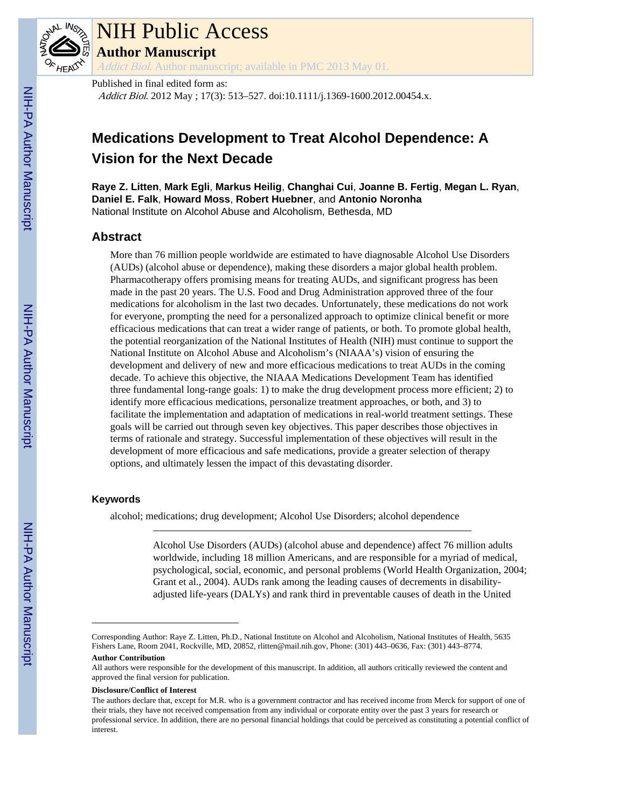

# NIH Public Access

**Author Manuscript**

Addict Biol. Author manuscript; available in PMC 2013 May 01.

Published in final edited form as: Addict Biol. 2012 May ; 17(3): 513–527. doi:10.1111/j.1369-1600.2012.00454.x.

# **Medications Development to Treat Alcohol Dependence: A Vision for the Next Decade**

**Raye Z. Litten**, **Mark Egli**, **Markus Heilig**, **Changhai Cui**, **Joanne B. Fertig**, **Megan L. Ryan**, **Daniel E. Falk**, **Howard Moss**, **Robert Huebner**, and **Antonio Noronha** National Institute on Alcohol Abuse and Alcoholism, Bethesda, MD

### **Abstract**

More than 76 million people worldwide are estimated to have diagnosable Alcohol Use Disorders (AUDs) (alcohol abuse or dependence), making these disorders a major global health problem. Pharmacotherapy offers promising means for treating AUDs, and significant progress has been made in the past 20 years. The U.S. Food and Drug Administration approved three of the four medications for alcoholism in the last two decades. Unfortunately, these medications do not work for everyone, prompting the need for a personalized approach to optimize clinical benefit or more efficacious medications that can treat a wider range of patients, or both. To promote global health, the potential reorganization of the National Institutes of Health (NIH) must continue to support the National Institute on Alcohol Abuse and Alcoholism's (NIAAA's) vision of ensuring the development and delivery of new and more efficacious medications to treat AUDs in the coming decade. To achieve this objective, the NIAAA Medications Development Team has identified three fundamental long-range goals: 1) to make the drug development process more efficient; 2) to identify more efficacious medications, personalize treatment approaches, or both, and 3) to facilitate the implementation and adaptation of medications in real-world treatment settings. These goals will be carried out through seven key objectives. This paper describes those objectives in terms of rationale and strategy. Successful implementation of these objectives will result in the development of more efficacious and safe medications, provide a greater selection of therapy options, and ultimately lessen the impact of this devastating disorder.

### **Keywords**

alcohol; medications; drug development; Alcohol Use Disorders; alcohol dependence

Alcohol Use Disorders (AUDs) (alcohol abuse and dependence) affect 76 million adults worldwide, including 18 million Americans, and are responsible for a myriad of medical, psychological, social, economic, and personal problems (World Health Organization, 2004; Grant et al., 2004). AUDs rank among the leading causes of decrements in disabilityadjusted life-years (DALYs) and rank third in preventable causes of death in the United

#### **Author Contribution**

#### **Disclosure/Conflict of Interest**

Corresponding Author: Raye Z. Litten, Ph.D., National Institute on Alcohol and Alcoholism, National Institutes of Health, 5635 Fishers Lane, Room 2041, Rockville, MD, 20852, rlitten@mail.nih.gov, Phone: (301) 443–0636, Fax: (301) 443–8774.

All authors were responsible for the development of this manuscript. In addition, all authors critically reviewed the content and approved the final version for publication.

The authors declare that, except for M.R. who is a government contractor and has received income from Merck for support of one of their trials, they have not received compensation from any individual or corporate entity over the past 3 years for research or professional service. In addition, there are no personal financial holdings that could be perceived as constituting a potential conflict of interest.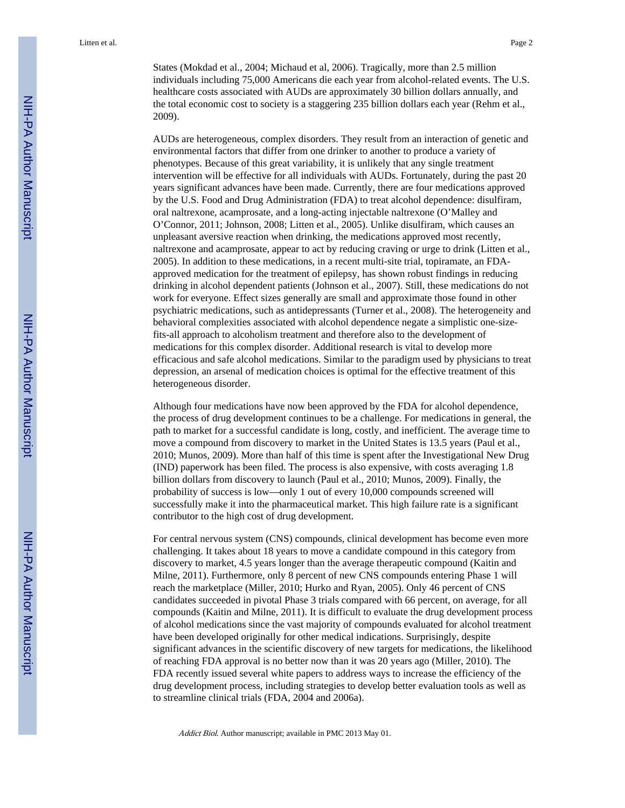States (Mokdad et al., 2004; Michaud et al, 2006). Tragically, more than 2.5 million individuals including 75,000 Americans die each year from alcohol-related events. The U.S. healthcare costs associated with AUDs are approximately 30 billion dollars annually, and the total economic cost to society is a staggering 235 billion dollars each year (Rehm et al., 2009).

AUDs are heterogeneous, complex disorders. They result from an interaction of genetic and environmental factors that differ from one drinker to another to produce a variety of phenotypes. Because of this great variability, it is unlikely that any single treatment intervention will be effective for all individuals with AUDs. Fortunately, during the past 20 years significant advances have been made. Currently, there are four medications approved by the U.S. Food and Drug Administration (FDA) to treat alcohol dependence: disulfiram, oral naltrexone, acamprosate, and a long-acting injectable naltrexone (O'Malley and O'Connor, 2011; Johnson, 2008; Litten et al., 2005). Unlike disulfiram, which causes an unpleasant aversive reaction when drinking, the medications approved most recently, naltrexone and acamprosate, appear to act by reducing craving or urge to drink (Litten et al., 2005). In addition to these medications, in a recent multi-site trial, topiramate, an FDAapproved medication for the treatment of epilepsy, has shown robust findings in reducing drinking in alcohol dependent patients (Johnson et al., 2007). Still, these medications do not work for everyone. Effect sizes generally are small and approximate those found in other psychiatric medications, such as antidepressants (Turner et al., 2008). The heterogeneity and behavioral complexities associated with alcohol dependence negate a simplistic one-sizefits-all approach to alcoholism treatment and therefore also to the development of medications for this complex disorder. Additional research is vital to develop more efficacious and safe alcohol medications. Similar to the paradigm used by physicians to treat depression, an arsenal of medication choices is optimal for the effective treatment of this heterogeneous disorder.

Although four medications have now been approved by the FDA for alcohol dependence, the process of drug development continues to be a challenge. For medications in general, the path to market for a successful candidate is long, costly, and inefficient. The average time to move a compound from discovery to market in the United States is 13.5 years (Paul et al., 2010; Munos, 2009). More than half of this time is spent after the Investigational New Drug (IND) paperwork has been filed. The process is also expensive, with costs averaging 1.8 billion dollars from discovery to launch (Paul et al., 2010; Munos, 2009). Finally, the probability of success is low—only 1 out of every 10,000 compounds screened will successfully make it into the pharmaceutical market. This high failure rate is a significant contributor to the high cost of drug development.

For central nervous system (CNS) compounds, clinical development has become even more challenging. It takes about 18 years to move a candidate compound in this category from discovery to market, 4.5 years longer than the average therapeutic compound (Kaitin and Milne, 2011). Furthermore, only 8 percent of new CNS compounds entering Phase 1 will reach the marketplace (Miller, 2010; Hurko and Ryan, 2005). Only 46 percent of CNS candidates succeeded in pivotal Phase 3 trials compared with 66 percent, on average, for all compounds (Kaitin and Milne, 2011). It is difficult to evaluate the drug development process of alcohol medications since the vast majority of compounds evaluated for alcohol treatment have been developed originally for other medical indications. Surprisingly, despite significant advances in the scientific discovery of new targets for medications, the likelihood of reaching FDA approval is no better now than it was 20 years ago (Miller, 2010). The FDA recently issued several white papers to address ways to increase the efficiency of the drug development process, including strategies to develop better evaluation tools as well as to streamline clinical trials (FDA, 2004 and 2006a).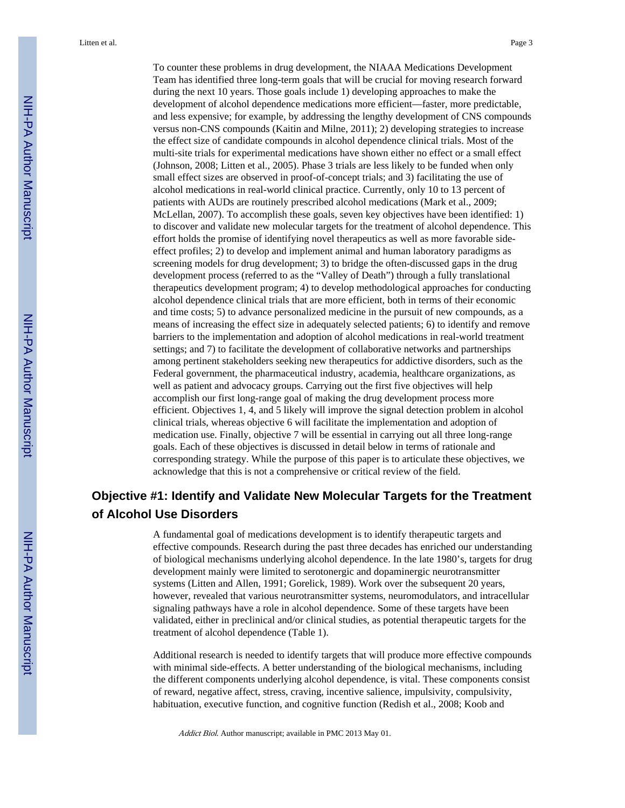To counter these problems in drug development, the NIAAA Medications Development Team has identified three long-term goals that will be crucial for moving research forward during the next 10 years. Those goals include 1) developing approaches to make the development of alcohol dependence medications more efficient—faster, more predictable, and less expensive; for example, by addressing the lengthy development of CNS compounds versus non-CNS compounds (Kaitin and Milne, 2011); 2) developing strategies to increase the effect size of candidate compounds in alcohol dependence clinical trials. Most of the multi-site trials for experimental medications have shown either no effect or a small effect (Johnson, 2008; Litten et al., 2005). Phase 3 trials are less likely to be funded when only small effect sizes are observed in proof-of-concept trials; and 3) facilitating the use of alcohol medications in real-world clinical practice. Currently, only 10 to 13 percent of patients with AUDs are routinely prescribed alcohol medications (Mark et al., 2009; McLellan, 2007). To accomplish these goals, seven key objectives have been identified: 1) to discover and validate new molecular targets for the treatment of alcohol dependence. This effort holds the promise of identifying novel therapeutics as well as more favorable sideeffect profiles; 2) to develop and implement animal and human laboratory paradigms as screening models for drug development; 3) to bridge the often-discussed gaps in the drug development process (referred to as the "Valley of Death") through a fully translational therapeutics development program; 4) to develop methodological approaches for conducting alcohol dependence clinical trials that are more efficient, both in terms of their economic and time costs; 5) to advance personalized medicine in the pursuit of new compounds, as a means of increasing the effect size in adequately selected patients; 6) to identify and remove barriers to the implementation and adoption of alcohol medications in real-world treatment settings; and 7) to facilitate the development of collaborative networks and partnerships among pertinent stakeholders seeking new therapeutics for addictive disorders, such as the Federal government, the pharmaceutical industry, academia, healthcare organizations, as well as patient and advocacy groups. Carrying out the first five objectives will help accomplish our first long-range goal of making the drug development process more efficient. Objectives 1, 4, and 5 likely will improve the signal detection problem in alcohol clinical trials, whereas objective 6 will facilitate the implementation and adoption of medication use. Finally, objective 7 will be essential in carrying out all three long-range goals. Each of these objectives is discussed in detail below in terms of rationale and corresponding strategy. While the purpose of this paper is to articulate these objectives, we acknowledge that this is not a comprehensive or critical review of the field.

### **Objective #1: Identify and Validate New Molecular Targets for the Treatment of Alcohol Use Disorders**

A fundamental goal of medications development is to identify therapeutic targets and effective compounds. Research during the past three decades has enriched our understanding of biological mechanisms underlying alcohol dependence. In the late 1980's, targets for drug development mainly were limited to serotonergic and dopaminergic neurotransmitter systems (Litten and Allen, 1991; Gorelick, 1989). Work over the subsequent 20 years, however, revealed that various neurotransmitter systems, neuromodulators, and intracellular signaling pathways have a role in alcohol dependence. Some of these targets have been validated, either in preclinical and/or clinical studies, as potential therapeutic targets for the treatment of alcohol dependence (Table 1).

Additional research is needed to identify targets that will produce more effective compounds with minimal side-effects. A better understanding of the biological mechanisms, including the different components underlying alcohol dependence, is vital. These components consist of reward, negative affect, stress, craving, incentive salience, impulsivity, compulsivity, habituation, executive function, and cognitive function (Redish et al., 2008; Koob and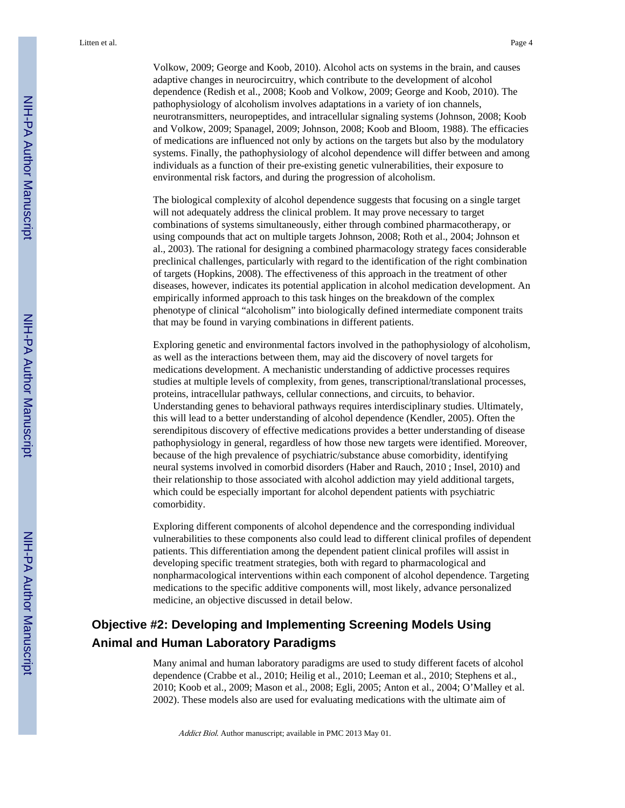Volkow, 2009; George and Koob, 2010). Alcohol acts on systems in the brain, and causes adaptive changes in neurocircuitry, which contribute to the development of alcohol dependence (Redish et al., 2008; Koob and Volkow, 2009; George and Koob, 2010). The pathophysiology of alcoholism involves adaptations in a variety of ion channels, neurotransmitters, neuropeptides, and intracellular signaling systems (Johnson, 2008; Koob and Volkow, 2009; Spanagel, 2009; Johnson, 2008; Koob and Bloom, 1988). The efficacies of medications are influenced not only by actions on the targets but also by the modulatory systems. Finally, the pathophysiology of alcohol dependence will differ between and among individuals as a function of their pre-existing genetic vulnerabilities, their exposure to environmental risk factors, and during the progression of alcoholism.

The biological complexity of alcohol dependence suggests that focusing on a single target will not adequately address the clinical problem. It may prove necessary to target combinations of systems simultaneously, either through combined pharmacotherapy, or using compounds that act on multiple targets Johnson, 2008; Roth et al., 2004; Johnson et al., 2003). The rational for designing a combined pharmacology strategy faces considerable preclinical challenges, particularly with regard to the identification of the right combination of targets (Hopkins, 2008). The effectiveness of this approach in the treatment of other diseases, however, indicates its potential application in alcohol medication development. An empirically informed approach to this task hinges on the breakdown of the complex phenotype of clinical "alcoholism" into biologically defined intermediate component traits that may be found in varying combinations in different patients.

Exploring genetic and environmental factors involved in the pathophysiology of alcoholism, as well as the interactions between them, may aid the discovery of novel targets for medications development. A mechanistic understanding of addictive processes requires studies at multiple levels of complexity, from genes, transcriptional/translational processes, proteins, intracellular pathways, cellular connections, and circuits, to behavior. Understanding genes to behavioral pathways requires interdisciplinary studies. Ultimately, this will lead to a better understanding of alcohol dependence (Kendler, 2005). Often the serendipitous discovery of effective medications provides a better understanding of disease pathophysiology in general, regardless of how those new targets were identified. Moreover, because of the high prevalence of psychiatric/substance abuse comorbidity, identifying neural systems involved in comorbid disorders (Haber and Rauch, 2010 ; Insel, 2010) and their relationship to those associated with alcohol addiction may yield additional targets, which could be especially important for alcohol dependent patients with psychiatric comorbidity.

Exploring different components of alcohol dependence and the corresponding individual vulnerabilities to these components also could lead to different clinical profiles of dependent patients. This differentiation among the dependent patient clinical profiles will assist in developing specific treatment strategies, both with regard to pharmacological and nonpharmacological interventions within each component of alcohol dependence. Targeting medications to the specific additive components will, most likely, advance personalized medicine, an objective discussed in detail below.

## **Objective #2: Developing and Implementing Screening Models Using Animal and Human Laboratory Paradigms**

Many animal and human laboratory paradigms are used to study different facets of alcohol dependence (Crabbe et al., 2010; Heilig et al., 2010; Leeman et al., 2010; Stephens et al., 2010; Koob et al., 2009; Mason et al., 2008; Egli, 2005; Anton et al., 2004; O'Malley et al. 2002). These models also are used for evaluating medications with the ultimate aim of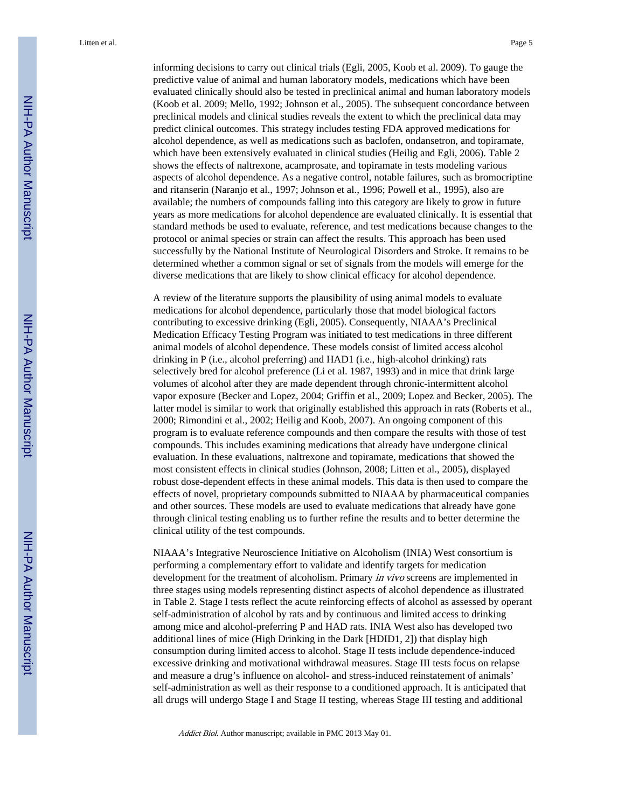informing decisions to carry out clinical trials (Egli, 2005, Koob et al. 2009). To gauge the predictive value of animal and human laboratory models, medications which have been evaluated clinically should also be tested in preclinical animal and human laboratory models (Koob et al. 2009; Mello, 1992; Johnson et al., 2005). The subsequent concordance between preclinical models and clinical studies reveals the extent to which the preclinical data may predict clinical outcomes. This strategy includes testing FDA approved medications for alcohol dependence, as well as medications such as baclofen, ondansetron, and topiramate, which have been extensively evaluated in clinical studies (Heilig and Egli, 2006). Table 2 shows the effects of naltrexone, acamprosate, and topiramate in tests modeling various aspects of alcohol dependence. As a negative control, notable failures, such as bromocriptine and ritanserin (Naranjo et al., 1997; Johnson et al., 1996; Powell et al., 1995), also are available; the numbers of compounds falling into this category are likely to grow in future years as more medications for alcohol dependence are evaluated clinically. It is essential that standard methods be used to evaluate, reference, and test medications because changes to the protocol or animal species or strain can affect the results. This approach has been used successfully by the National Institute of Neurological Disorders and Stroke. It remains to be determined whether a common signal or set of signals from the models will emerge for the diverse medications that are likely to show clinical efficacy for alcohol dependence.

A review of the literature supports the plausibility of using animal models to evaluate medications for alcohol dependence, particularly those that model biological factors contributing to excessive drinking (Egli, 2005). Consequently, NIAAA's Preclinical Medication Efficacy Testing Program was initiated to test medications in three different animal models of alcohol dependence. These models consist of limited access alcohol drinking in P (i.e., alcohol preferring) and HAD1 (i.e., high-alcohol drinking) rats selectively bred for alcohol preference (Li et al. 1987, 1993) and in mice that drink large volumes of alcohol after they are made dependent through chronic-intermittent alcohol vapor exposure (Becker and Lopez, 2004; Griffin et al., 2009; Lopez and Becker, 2005). The latter model is similar to work that originally established this approach in rats (Roberts et al., 2000; Rimondini et al., 2002; Heilig and Koob, 2007). An ongoing component of this program is to evaluate reference compounds and then compare the results with those of test compounds. This includes examining medications that already have undergone clinical evaluation. In these evaluations, naltrexone and topiramate, medications that showed the most consistent effects in clinical studies (Johnson, 2008; Litten et al., 2005), displayed robust dose-dependent effects in these animal models. This data is then used to compare the effects of novel, proprietary compounds submitted to NIAAA by pharmaceutical companies and other sources. These models are used to evaluate medications that already have gone through clinical testing enabling us to further refine the results and to better determine the clinical utility of the test compounds.

NIAAA's Integrative Neuroscience Initiative on Alcoholism (INIA) West consortium is performing a complementary effort to validate and identify targets for medication development for the treatment of alcoholism. Primary in vivo screens are implemented in three stages using models representing distinct aspects of alcohol dependence as illustrated in Table 2. Stage I tests reflect the acute reinforcing effects of alcohol as assessed by operant self-administration of alcohol by rats and by continuous and limited access to drinking among mice and alcohol-preferring P and HAD rats. INIA West also has developed two additional lines of mice (High Drinking in the Dark [HDID1, 2]) that display high consumption during limited access to alcohol. Stage II tests include dependence-induced excessive drinking and motivational withdrawal measures. Stage III tests focus on relapse and measure a drug's influence on alcohol- and stress-induced reinstatement of animals' self-administration as well as their response to a conditioned approach. It is anticipated that all drugs will undergo Stage I and Stage II testing, whereas Stage III testing and additional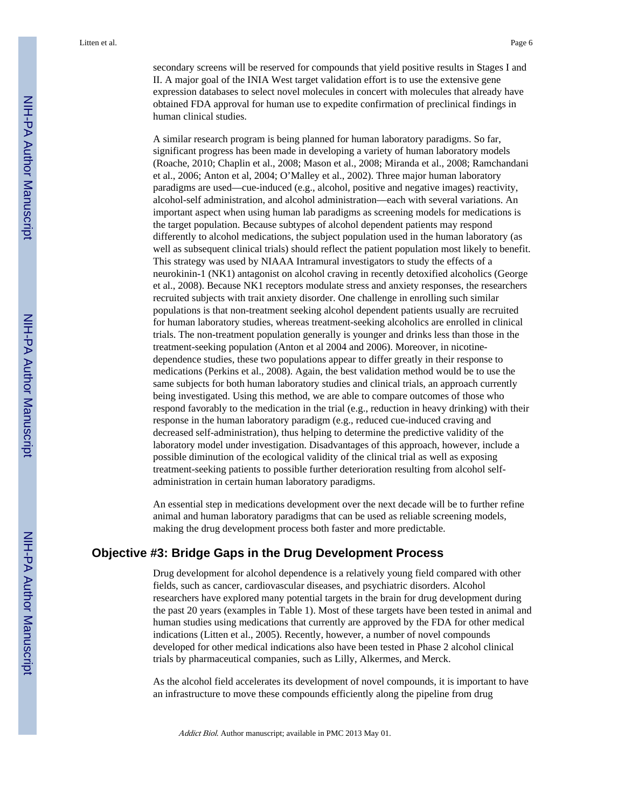secondary screens will be reserved for compounds that yield positive results in Stages I and II. A major goal of the INIA West target validation effort is to use the extensive gene expression databases to select novel molecules in concert with molecules that already have obtained FDA approval for human use to expedite confirmation of preclinical findings in human clinical studies.

A similar research program is being planned for human laboratory paradigms. So far, significant progress has been made in developing a variety of human laboratory models (Roache, 2010; Chaplin et al., 2008; Mason et al., 2008; Miranda et al., 2008; Ramchandani et al., 2006; Anton et al, 2004; O'Malley et al., 2002). Three major human laboratory paradigms are used—cue-induced (e.g., alcohol, positive and negative images) reactivity, alcohol-self administration, and alcohol administration—each with several variations. An important aspect when using human lab paradigms as screening models for medications is the target population. Because subtypes of alcohol dependent patients may respond differently to alcohol medications, the subject population used in the human laboratory (as well as subsequent clinical trials) should reflect the patient population most likely to benefit. This strategy was used by NIAAA Intramural investigators to study the effects of a neurokinin-1 (NK1) antagonist on alcohol craving in recently detoxified alcoholics (George et al., 2008). Because NK1 receptors modulate stress and anxiety responses, the researchers recruited subjects with trait anxiety disorder. One challenge in enrolling such similar populations is that non-treatment seeking alcohol dependent patients usually are recruited for human laboratory studies, whereas treatment-seeking alcoholics are enrolled in clinical trials. The non-treatment population generally is younger and drinks less than those in the treatment-seeking population (Anton et al 2004 and 2006). Moreover, in nicotinedependence studies, these two populations appear to differ greatly in their response to medications (Perkins et al., 2008). Again, the best validation method would be to use the same subjects for both human laboratory studies and clinical trials, an approach currently being investigated. Using this method, we are able to compare outcomes of those who respond favorably to the medication in the trial (e.g., reduction in heavy drinking) with their response in the human laboratory paradigm (e.g., reduced cue-induced craving and decreased self-administration), thus helping to determine the predictive validity of the laboratory model under investigation. Disadvantages of this approach, however, include a possible diminution of the ecological validity of the clinical trial as well as exposing treatment-seeking patients to possible further deterioration resulting from alcohol selfadministration in certain human laboratory paradigms.

An essential step in medications development over the next decade will be to further refine animal and human laboratory paradigms that can be used as reliable screening models, making the drug development process both faster and more predictable.

### **Objective #3: Bridge Gaps in the Drug Development Process**

Drug development for alcohol dependence is a relatively young field compared with other fields, such as cancer, cardiovascular diseases, and psychiatric disorders. Alcohol researchers have explored many potential targets in the brain for drug development during the past 20 years (examples in Table 1). Most of these targets have been tested in animal and human studies using medications that currently are approved by the FDA for other medical indications (Litten et al., 2005). Recently, however, a number of novel compounds developed for other medical indications also have been tested in Phase 2 alcohol clinical trials by pharmaceutical companies, such as Lilly, Alkermes, and Merck.

As the alcohol field accelerates its development of novel compounds, it is important to have an infrastructure to move these compounds efficiently along the pipeline from drug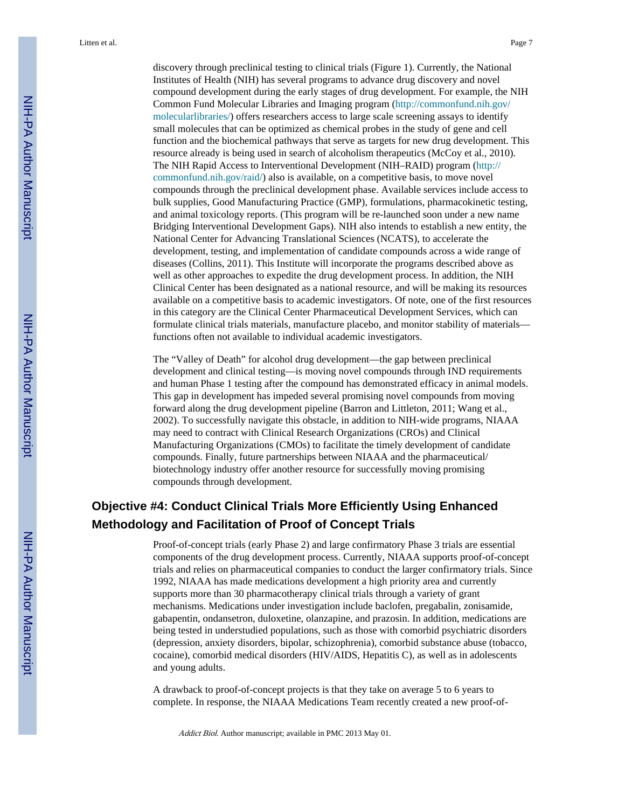discovery through preclinical testing to clinical trials (Figure 1). Currently, the National Institutes of Health (NIH) has several programs to advance drug discovery and novel compound development during the early stages of drug development. For example, the NIH Common Fund Molecular Libraries and Imaging program [\(http://commonfund.nih.gov/](http://commonfund.nih.gov/molecularlibraries/) [molecularlibraries/\)](http://commonfund.nih.gov/molecularlibraries/) offers researchers access to large scale screening assays to identify small molecules that can be optimized as chemical probes in the study of gene and cell function and the biochemical pathways that serve as targets for new drug development. This resource already is being used in search of alcoholism therapeutics (McCoy et al., 2010). The NIH Rapid Access to Interventional Development (NIH–RAID) program ([http://](http://commonfund.nih.gov/raid/) [commonfund.nih.gov/raid/](http://commonfund.nih.gov/raid/)) also is available, on a competitive basis, to move novel compounds through the preclinical development phase. Available services include access to bulk supplies, Good Manufacturing Practice (GMP), formulations, pharmacokinetic testing, and animal toxicology reports. (This program will be re-launched soon under a new name Bridging Interventional Development Gaps). NIH also intends to establish a new entity, the National Center for Advancing Translational Sciences (NCATS), to accelerate the development, testing, and implementation of candidate compounds across a wide range of diseases (Collins, 2011). This Institute will incorporate the programs described above as well as other approaches to expedite the drug development process. In addition, the NIH Clinical Center has been designated as a national resource, and will be making its resources available on a competitive basis to academic investigators. Of note, one of the first resources in this category are the Clinical Center Pharmaceutical Development Services, which can formulate clinical trials materials, manufacture placebo, and monitor stability of materials functions often not available to individual academic investigators.

The "Valley of Death" for alcohol drug development—the gap between preclinical development and clinical testing—is moving novel compounds through IND requirements and human Phase 1 testing after the compound has demonstrated efficacy in animal models. This gap in development has impeded several promising novel compounds from moving forward along the drug development pipeline (Barron and Littleton, 2011; Wang et al., 2002). To successfully navigate this obstacle, in addition to NIH-wide programs, NIAAA may need to contract with Clinical Research Organizations (CROs) and Clinical Manufacturing Organizations (CMOs) to facilitate the timely development of candidate compounds. Finally, future partnerships between NIAAA and the pharmaceutical/ biotechnology industry offer another resource for successfully moving promising compounds through development.

## **Objective #4: Conduct Clinical Trials More Efficiently Using Enhanced Methodology and Facilitation of Proof of Concept Trials**

Proof-of-concept trials (early Phase 2) and large confirmatory Phase 3 trials are essential components of the drug development process. Currently, NIAAA supports proof-of-concept trials and relies on pharmaceutical companies to conduct the larger confirmatory trials. Since 1992, NIAAA has made medications development a high priority area and currently supports more than 30 pharmacotherapy clinical trials through a variety of grant mechanisms. Medications under investigation include baclofen, pregabalin, zonisamide, gabapentin, ondansetron, duloxetine, olanzapine, and prazosin. In addition, medications are being tested in understudied populations, such as those with comorbid psychiatric disorders (depression, anxiety disorders, bipolar, schizophrenia), comorbid substance abuse (tobacco, cocaine), comorbid medical disorders (HIV/AIDS, Hepatitis C), as well as in adolescents and young adults.

A drawback to proof-of-concept projects is that they take on average 5 to 6 years to complete. In response, the NIAAA Medications Team recently created a new proof-of-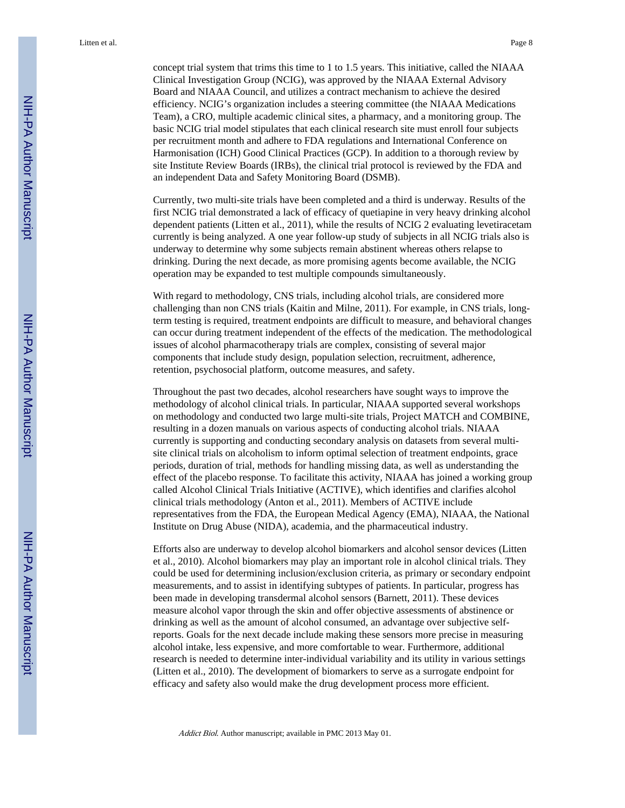concept trial system that trims this time to 1 to 1.5 years. This initiative, called the NIAAA Clinical Investigation Group (NCIG), was approved by the NIAAA External Advisory Board and NIAAA Council, and utilizes a contract mechanism to achieve the desired efficiency. NCIG's organization includes a steering committee (the NIAAA Medications Team), a CRO, multiple academic clinical sites, a pharmacy, and a monitoring group. The basic NCIG trial model stipulates that each clinical research site must enroll four subjects per recruitment month and adhere to FDA regulations and International Conference on Harmonisation (ICH) Good Clinical Practices (GCP). In addition to a thorough review by site Institute Review Boards (IRBs), the clinical trial protocol is reviewed by the FDA and an independent Data and Safety Monitoring Board (DSMB).

Currently, two multi-site trials have been completed and a third is underway. Results of the first NCIG trial demonstrated a lack of efficacy of quetiapine in very heavy drinking alcohol dependent patients (Litten et al., 2011), while the results of NCIG 2 evaluating levetiracetam currently is being analyzed. A one year follow-up study of subjects in all NCIG trials also is underway to determine why some subjects remain abstinent whereas others relapse to drinking. During the next decade, as more promising agents become available, the NCIG operation may be expanded to test multiple compounds simultaneously.

With regard to methodology, CNS trials, including alcohol trials, are considered more challenging than non CNS trials (Kaitin and Milne, 2011). For example, in CNS trials, longterm testing is required, treatment endpoints are difficult to measure, and behavioral changes can occur during treatment independent of the effects of the medication. The methodological issues of alcohol pharmacotherapy trials are complex, consisting of several major components that include study design, population selection, recruitment, adherence, retention, psychosocial platform, outcome measures, and safety.

Throughout the past two decades, alcohol researchers have sought ways to improve the methodology of alcohol clinical trials. In particular, NIAAA supported several workshops on methodology and conducted two large multi-site trials, Project MATCH and COMBINE, resulting in a dozen manuals on various aspects of conducting alcohol trials. NIAAA currently is supporting and conducting secondary analysis on datasets from several multisite clinical trials on alcoholism to inform optimal selection of treatment endpoints, grace periods, duration of trial, methods for handling missing data, as well as understanding the effect of the placebo response. To facilitate this activity, NIAAA has joined a working group called Alcohol Clinical Trials Initiative (ACTIVE), which identifies and clarifies alcohol clinical trials methodology (Anton et al., 2011). Members of ACTIVE include representatives from the FDA, the European Medical Agency (EMA), NIAAA, the National Institute on Drug Abuse (NIDA), academia, and the pharmaceutical industry.

Efforts also are underway to develop alcohol biomarkers and alcohol sensor devices (Litten et al., 2010). Alcohol biomarkers may play an important role in alcohol clinical trials. They could be used for determining inclusion/exclusion criteria, as primary or secondary endpoint measurements, and to assist in identifying subtypes of patients. In particular, progress has been made in developing transdermal alcohol sensors (Barnett, 2011). These devices measure alcohol vapor through the skin and offer objective assessments of abstinence or drinking as well as the amount of alcohol consumed, an advantage over subjective selfreports. Goals for the next decade include making these sensors more precise in measuring alcohol intake, less expensive, and more comfortable to wear. Furthermore, additional research is needed to determine inter-individual variability and its utility in various settings (Litten et al., 2010). The development of biomarkers to serve as a surrogate endpoint for efficacy and safety also would make the drug development process more efficient.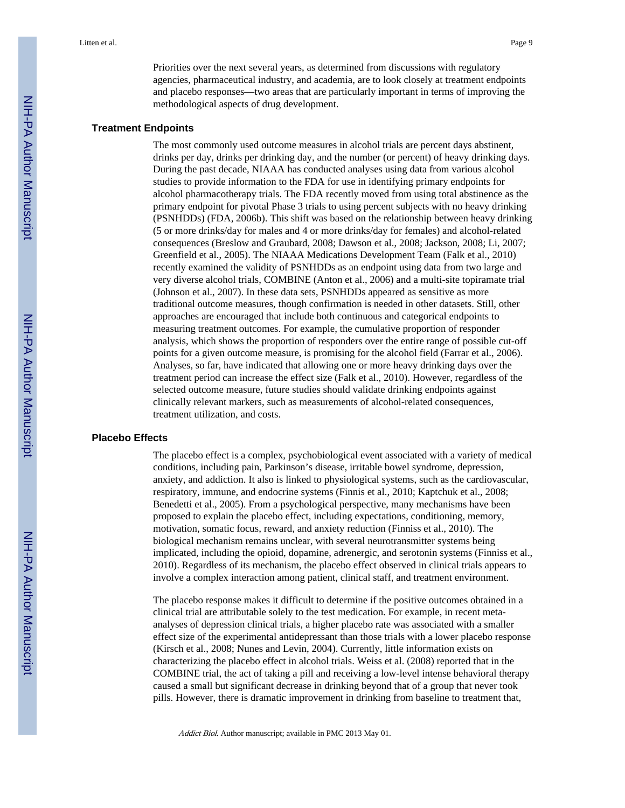Priorities over the next several years, as determined from discussions with regulatory agencies, pharmaceutical industry, and academia, are to look closely at treatment endpoints and placebo responses—two areas that are particularly important in terms of improving the methodological aspects of drug development.

#### **Treatment Endpoints**

The most commonly used outcome measures in alcohol trials are percent days abstinent, drinks per day, drinks per drinking day, and the number (or percent) of heavy drinking days. During the past decade, NIAAA has conducted analyses using data from various alcohol studies to provide information to the FDA for use in identifying primary endpoints for alcohol pharmacotherapy trials. The FDA recently moved from using total abstinence as the primary endpoint for pivotal Phase 3 trials to using percent subjects with no heavy drinking (PSNHDDs) (FDA, 2006b). This shift was based on the relationship between heavy drinking (5 or more drinks/day for males and 4 or more drinks/day for females) and alcohol-related consequences (Breslow and Graubard, 2008; Dawson et al., 2008; Jackson, 2008; Li, 2007; Greenfield et al., 2005). The NIAAA Medications Development Team (Falk et al., 2010) recently examined the validity of PSNHDDs as an endpoint using data from two large and very diverse alcohol trials, COMBINE (Anton et al., 2006) and a multi-site topiramate trial (Johnson et al., 2007). In these data sets, PSNHDDs appeared as sensitive as more traditional outcome measures, though confirmation is needed in other datasets. Still, other approaches are encouraged that include both continuous and categorical endpoints to measuring treatment outcomes. For example, the cumulative proportion of responder analysis, which shows the proportion of responders over the entire range of possible cut-off points for a given outcome measure, is promising for the alcohol field (Farrar et al., 2006). Analyses, so far, have indicated that allowing one or more heavy drinking days over the treatment period can increase the effect size (Falk et al., 2010). However, regardless of the selected outcome measure, future studies should validate drinking endpoints against clinically relevant markers, such as measurements of alcohol-related consequences, treatment utilization, and costs.

#### **Placebo Effects**

The placebo effect is a complex, psychobiological event associated with a variety of medical conditions, including pain, Parkinson's disease, irritable bowel syndrome, depression, anxiety, and addiction. It also is linked to physiological systems, such as the cardiovascular, respiratory, immune, and endocrine systems (Finnis et al., 2010; Kaptchuk et al., 2008; Benedetti et al., 2005). From a psychological perspective, many mechanisms have been proposed to explain the placebo effect, including expectations, conditioning, memory, motivation, somatic focus, reward, and anxiety reduction (Finniss et al., 2010). The biological mechanism remains unclear, with several neurotransmitter systems being implicated, including the opioid, dopamine, adrenergic, and serotonin systems (Finniss et al., 2010). Regardless of its mechanism, the placebo effect observed in clinical trials appears to involve a complex interaction among patient, clinical staff, and treatment environment.

The placebo response makes it difficult to determine if the positive outcomes obtained in a clinical trial are attributable solely to the test medication. For example, in recent metaanalyses of depression clinical trials, a higher placebo rate was associated with a smaller effect size of the experimental antidepressant than those trials with a lower placebo response (Kirsch et al., 2008; Nunes and Levin, 2004). Currently, little information exists on characterizing the placebo effect in alcohol trials. Weiss et al. (2008) reported that in the COMBINE trial, the act of taking a pill and receiving a low-level intense behavioral therapy caused a small but significant decrease in drinking beyond that of a group that never took pills. However, there is dramatic improvement in drinking from baseline to treatment that,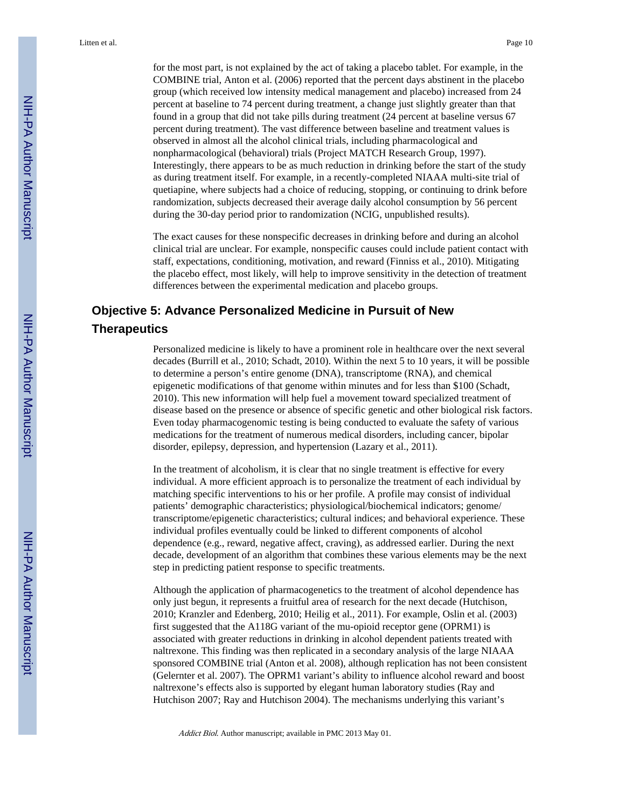for the most part, is not explained by the act of taking a placebo tablet. For example, in the COMBINE trial, Anton et al. (2006) reported that the percent days abstinent in the placebo group (which received low intensity medical management and placebo) increased from 24 percent at baseline to 74 percent during treatment, a change just slightly greater than that found in a group that did not take pills during treatment (24 percent at baseline versus 67 percent during treatment). The vast difference between baseline and treatment values is observed in almost all the alcohol clinical trials, including pharmacological and nonpharmacological (behavioral) trials (Project MATCH Research Group, 1997). Interestingly, there appears to be as much reduction in drinking before the start of the study as during treatment itself. For example, in a recently-completed NIAAA multi-site trial of quetiapine, where subjects had a choice of reducing, stopping, or continuing to drink before randomization, subjects decreased their average daily alcohol consumption by 56 percent during the 30-day period prior to randomization (NCIG, unpublished results).

The exact causes for these nonspecific decreases in drinking before and during an alcohol clinical trial are unclear. For example, nonspecific causes could include patient contact with staff, expectations, conditioning, motivation, and reward (Finniss et al., 2010). Mitigating the placebo effect, most likely, will help to improve sensitivity in the detection of treatment differences between the experimental medication and placebo groups.

# **Objective 5: Advance Personalized Medicine in Pursuit of New Therapeutics**

Personalized medicine is likely to have a prominent role in healthcare over the next several decades (Burrill et al., 2010; Schadt, 2010). Within the next 5 to 10 years, it will be possible to determine a person's entire genome (DNA), transcriptome (RNA), and chemical epigenetic modifications of that genome within minutes and for less than \$100 (Schadt, 2010). This new information will help fuel a movement toward specialized treatment of disease based on the presence or absence of specific genetic and other biological risk factors. Even today pharmacogenomic testing is being conducted to evaluate the safety of various medications for the treatment of numerous medical disorders, including cancer, bipolar disorder, epilepsy, depression, and hypertension (Lazary et al., 2011).

In the treatment of alcoholism, it is clear that no single treatment is effective for every individual. A more efficient approach is to personalize the treatment of each individual by matching specific interventions to his or her profile. A profile may consist of individual patients' demographic characteristics; physiological/biochemical indicators; genome/ transcriptome/epigenetic characteristics; cultural indices; and behavioral experience. These individual profiles eventually could be linked to different components of alcohol dependence (e.g., reward, negative affect, craving), as addressed earlier. During the next decade, development of an algorithm that combines these various elements may be the next step in predicting patient response to specific treatments.

Although the application of pharmacogenetics to the treatment of alcohol dependence has only just begun, it represents a fruitful area of research for the next decade (Hutchison, 2010; Kranzler and Edenberg, 2010; Heilig et al., 2011). For example, Oslin et al. (2003) first suggested that the A118G variant of the mu-opioid receptor gene (OPRM1) is associated with greater reductions in drinking in alcohol dependent patients treated with naltrexone. This finding was then replicated in a secondary analysis of the large NIAAA sponsored COMBINE trial (Anton et al. 2008), although replication has not been consistent (Gelernter et al. 2007). The OPRM1 variant's ability to influence alcohol reward and boost naltrexone's effects also is supported by elegant human laboratory studies (Ray and Hutchison 2007; Ray and Hutchison 2004). The mechanisms underlying this variant's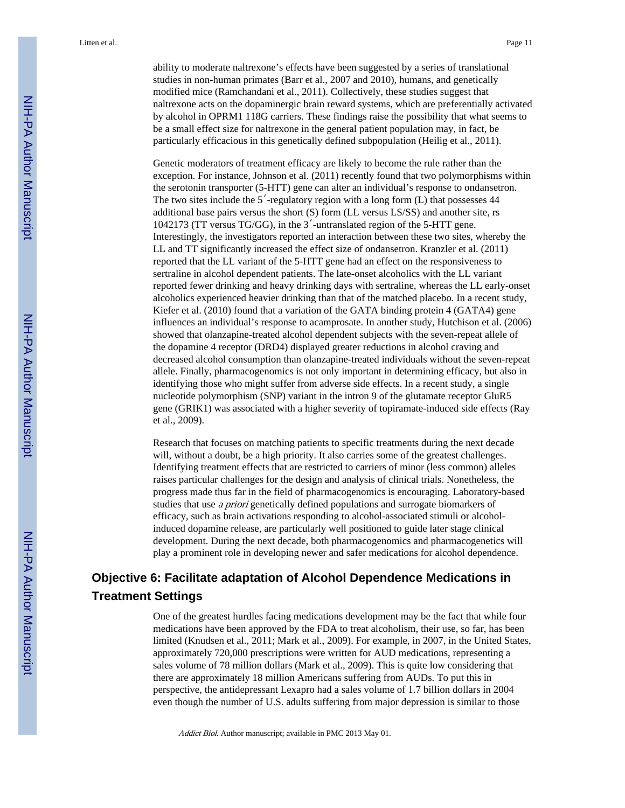ability to moderate naltrexone's effects have been suggested by a series of translational studies in non-human primates (Barr et al., 2007 and 2010), humans, and genetically modified mice (Ramchandani et al., 2011). Collectively, these studies suggest that naltrexone acts on the dopaminergic brain reward systems, which are preferentially activated by alcohol in OPRM1 118G carriers. These findings raise the possibility that what seems to be a small effect size for naltrexone in the general patient population may, in fact, be particularly efficacious in this genetically defined subpopulation (Heilig et al., 2011).

Genetic moderators of treatment efficacy are likely to become the rule rather than the exception. For instance, Johnson et al. (2011) recently found that two polymorphisms within the serotonin transporter (5-HTT) gene can alter an individual's response to ondansetron. The two sites include the  $5'$ -regulatory region with a long form  $(L)$  that possesses 44 additional base pairs versus the short (S) form (LL versus LS/SS) and another site, rs 1042173 (TT versus TG/GG), in the 3′-untranslated region of the 5-HTT gene. Interestingly, the investigators reported an interaction between these two sites, whereby the LL and TT significantly increased the effect size of ondansetron. Kranzler et al. (2011) reported that the LL variant of the 5-HTT gene had an effect on the responsiveness to sertraline in alcohol dependent patients. The late-onset alcoholics with the LL variant reported fewer drinking and heavy drinking days with sertraline, whereas the LL early-onset alcoholics experienced heavier drinking than that of the matched placebo. In a recent study, Kiefer et al. (2010) found that a variation of the GATA binding protein 4 (GATA4) gene influences an individual's response to acamprosate. In another study, Hutchison et al. (2006) showed that olanzapine-treated alcohol dependent subjects with the seven-repeat allele of the dopamine 4 receptor (DRD4) displayed greater reductions in alcohol craving and decreased alcohol consumption than olanzapine-treated individuals without the seven-repeat allele. Finally, pharmacogenomics is not only important in determining efficacy, but also in identifying those who might suffer from adverse side effects. In a recent study, a single nucleotide polymorphism (SNP) variant in the intron 9 of the glutamate receptor GluR5 gene (GRIK1) was associated with a higher severity of topiramate-induced side effects (Ray et al., 2009).

Research that focuses on matching patients to specific treatments during the next decade will, without a doubt, be a high priority. It also carries some of the greatest challenges. Identifying treatment effects that are restricted to carriers of minor (less common) alleles raises particular challenges for the design and analysis of clinical trials. Nonetheless, the progress made thus far in the field of pharmacogenomics is encouraging. Laboratory-based studies that use a priori genetically defined populations and surrogate biomarkers of efficacy, such as brain activations responding to alcohol-associated stimuli or alcoholinduced dopamine release, are particularly well positioned to guide later stage clinical development. During the next decade, both pharmacogenomics and pharmacogenetics will play a prominent role in developing newer and safer medications for alcohol dependence.

# **Objective 6: Facilitate adaptation of Alcohol Dependence Medications in Treatment Settings**

One of the greatest hurdles facing medications development may be the fact that while four medications have been approved by the FDA to treat alcoholism, their use, so far, has been limited (Knudsen et al., 2011; Mark et al., 2009). For example, in 2007, in the United States, approximately 720,000 prescriptions were written for AUD medications, representing a sales volume of 78 million dollars (Mark et al., 2009). This is quite low considering that there are approximately 18 million Americans suffering from AUDs. To put this in perspective, the antidepressant Lexapro had a sales volume of 1.7 billion dollars in 2004 even though the number of U.S. adults suffering from major depression is similar to those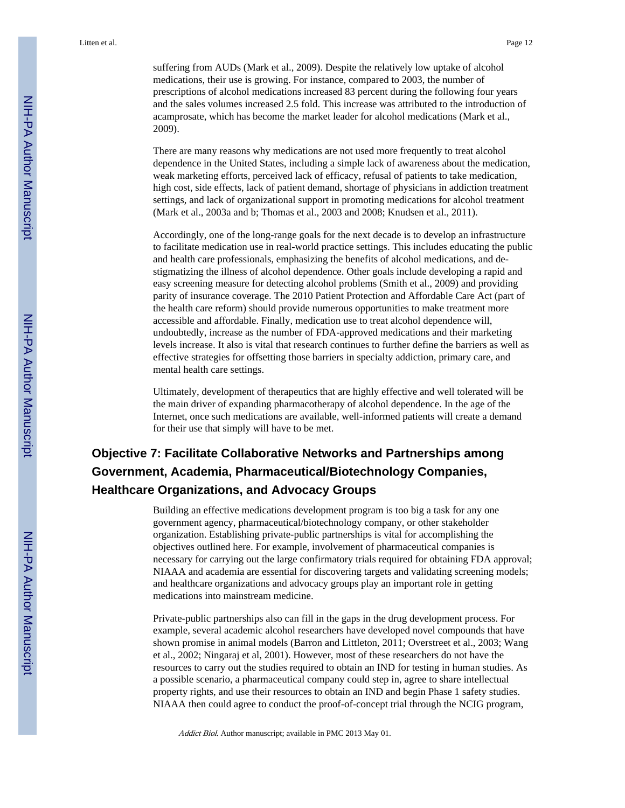suffering from AUDs (Mark et al., 2009). Despite the relatively low uptake of alcohol medications, their use is growing. For instance, compared to 2003, the number of prescriptions of alcohol medications increased 83 percent during the following four years and the sales volumes increased 2.5 fold. This increase was attributed to the introduction of acamprosate, which has become the market leader for alcohol medications (Mark et al., 2009).

There are many reasons why medications are not used more frequently to treat alcohol dependence in the United States, including a simple lack of awareness about the medication, weak marketing efforts, perceived lack of efficacy, refusal of patients to take medication, high cost, side effects, lack of patient demand, shortage of physicians in addiction treatment settings, and lack of organizational support in promoting medications for alcohol treatment (Mark et al., 2003a and b; Thomas et al., 2003 and 2008; Knudsen et al., 2011).

Accordingly, one of the long-range goals for the next decade is to develop an infrastructure to facilitate medication use in real-world practice settings. This includes educating the public and health care professionals, emphasizing the benefits of alcohol medications, and destigmatizing the illness of alcohol dependence. Other goals include developing a rapid and easy screening measure for detecting alcohol problems (Smith et al., 2009) and providing parity of insurance coverage. The 2010 Patient Protection and Affordable Care Act (part of the health care reform) should provide numerous opportunities to make treatment more accessible and affordable. Finally, medication use to treat alcohol dependence will, undoubtedly, increase as the number of FDA-approved medications and their marketing levels increase. It also is vital that research continues to further define the barriers as well as effective strategies for offsetting those barriers in specialty addiction, primary care, and mental health care settings.

Ultimately, development of therapeutics that are highly effective and well tolerated will be the main driver of expanding pharmacotherapy of alcohol dependence. In the age of the Internet, once such medications are available, well-informed patients will create a demand for their use that simply will have to be met.

# **Objective 7: Facilitate Collaborative Networks and Partnerships among Government, Academia, Pharmaceutical/Biotechnology Companies, Healthcare Organizations, and Advocacy Groups**

Building an effective medications development program is too big a task for any one government agency, pharmaceutical/biotechnology company, or other stakeholder organization. Establishing private-public partnerships is vital for accomplishing the objectives outlined here. For example, involvement of pharmaceutical companies is necessary for carrying out the large confirmatory trials required for obtaining FDA approval; NIAAA and academia are essential for discovering targets and validating screening models; and healthcare organizations and advocacy groups play an important role in getting medications into mainstream medicine.

Private-public partnerships also can fill in the gaps in the drug development process. For example, several academic alcohol researchers have developed novel compounds that have shown promise in animal models (Barron and Littleton, 2011; Overstreet et al., 2003; Wang et al., 2002; Ningaraj et al, 2001). However, most of these researchers do not have the resources to carry out the studies required to obtain an IND for testing in human studies. As a possible scenario, a pharmaceutical company could step in, agree to share intellectual property rights, and use their resources to obtain an IND and begin Phase 1 safety studies. NIAAA then could agree to conduct the proof-of-concept trial through the NCIG program,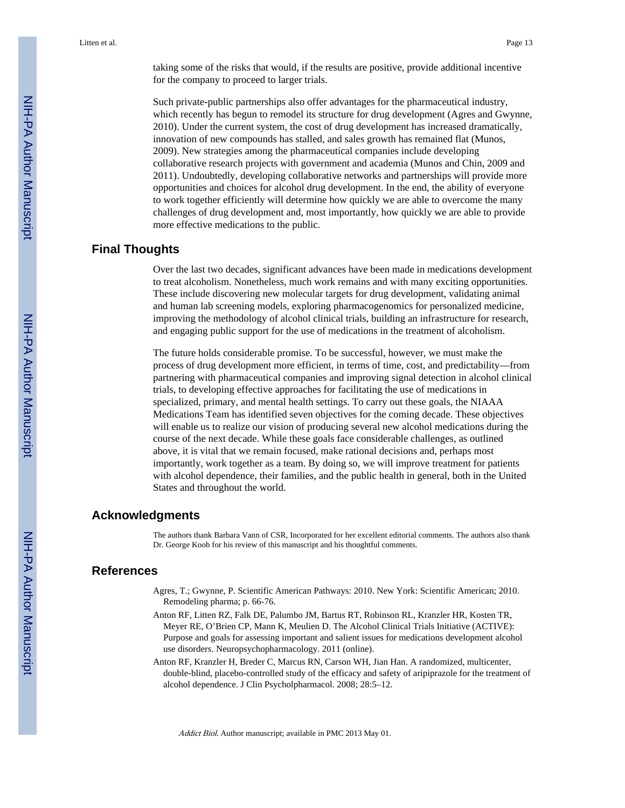taking some of the risks that would, if the results are positive, provide additional incentive for the company to proceed to larger trials.

Such private-public partnerships also offer advantages for the pharmaceutical industry, which recently has begun to remodel its structure for drug development (Agres and Gwynne, 2010). Under the current system, the cost of drug development has increased dramatically, innovation of new compounds has stalled, and sales growth has remained flat (Munos, 2009). New strategies among the pharmaceutical companies include developing collaborative research projects with government and academia (Munos and Chin, 2009 and 2011). Undoubtedly, developing collaborative networks and partnerships will provide more opportunities and choices for alcohol drug development. In the end, the ability of everyone to work together efficiently will determine how quickly we are able to overcome the many challenges of drug development and, most importantly, how quickly we are able to provide more effective medications to the public.

### **Final Thoughts**

Over the last two decades, significant advances have been made in medications development to treat alcoholism. Nonetheless, much work remains and with many exciting opportunities. These include discovering new molecular targets for drug development, validating animal and human lab screening models, exploring pharmacogenomics for personalized medicine, improving the methodology of alcohol clinical trials, building an infrastructure for research, and engaging public support for the use of medications in the treatment of alcoholism.

The future holds considerable promise. To be successful, however, we must make the process of drug development more efficient, in terms of time, cost, and predictability—from partnering with pharmaceutical companies and improving signal detection in alcohol clinical trials, to developing effective approaches for facilitating the use of medications in specialized, primary, and mental health settings. To carry out these goals, the NIAAA Medications Team has identified seven objectives for the coming decade. These objectives will enable us to realize our vision of producing several new alcohol medications during the course of the next decade. While these goals face considerable challenges, as outlined above, it is vital that we remain focused, make rational decisions and, perhaps most importantly, work together as a team. By doing so, we will improve treatment for patients with alcohol dependence, their families, and the public health in general, both in the United States and throughout the world.

### **Acknowledgments**

The authors thank Barbara Vann of CSR, Incorporated for her excellent editorial comments. The authors also thank Dr. George Koob for his review of this manuscript and his thoughtful comments.

### **References**

- Agres, T.; Gwynne, P. Scientific American Pathways: 2010. New York: Scientific American; 2010. Remodeling pharma; p. 66-76.
- Anton RF, Litten RZ, Falk DE, Palumbo JM, Bartus RT, Robinson RL, Kranzler HR, Kosten TR, Meyer RE, O'Brien CP, Mann K, Meulien D. The Alcohol Clinical Trials Initiative (ACTIVE): Purpose and goals for assessing important and salient issues for medications development alcohol use disorders. Neuropsychopharmacology. 2011 (online).
- Anton RF, Kranzler H, Breder C, Marcus RN, Carson WH, Jian Han. A randomized, multicenter, double-blind, placebo-controlled study of the efficacy and safety of aripiprazole for the treatment of alcohol dependence. J Clin Psycholpharmacol. 2008; 28:5–12.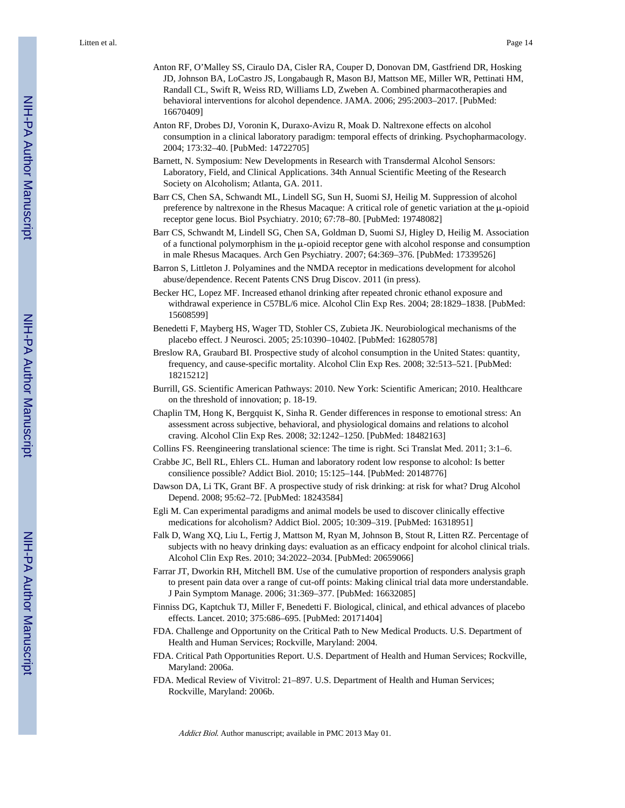- Anton RF, O'Malley SS, Ciraulo DA, Cisler RA, Couper D, Donovan DM, Gastfriend DR, Hosking JD, Johnson BA, LoCastro JS, Longabaugh R, Mason BJ, Mattson ME, Miller WR, Pettinati HM, Randall CL, Swift R, Weiss RD, Williams LD, Zweben A. Combined pharmacotherapies and behavioral interventions for alcohol dependence. JAMA. 2006; 295:2003–2017. [PubMed: 16670409]
- Anton RF, Drobes DJ, Voronin K, Duraxo-Avizu R, Moak D. Naltrexone effects on alcohol consumption in a clinical laboratory paradigm: temporal effects of drinking. Psychopharmacology. 2004; 173:32–40. [PubMed: 14722705]
- Barnett, N. Symposium: New Developments in Research with Transdermal Alcohol Sensors: Laboratory, Field, and Clinical Applications. 34th Annual Scientific Meeting of the Research Society on Alcoholism; Atlanta, GA. 2011.
- Barr CS, Chen SA, Schwandt ML, Lindell SG, Sun H, Suomi SJ, Heilig M. Suppression of alcohol preference by naltrexone in the Rhesus Macaque: A critical role of genetic variation at the μ-opioid receptor gene locus. Biol Psychiatry. 2010; 67:78–80. [PubMed: 19748082]
- Barr CS, Schwandt M, Lindell SG, Chen SA, Goldman D, Suomi SJ, Higley D, Heilig M. Association of a functional polymorphism in the μ-opioid receptor gene with alcohol response and consumption in male Rhesus Macaques. Arch Gen Psychiatry. 2007; 64:369–376. [PubMed: 17339526]
- Barron S, Littleton J. Polyamines and the NMDA receptor in medications development for alcohol abuse/dependence. Recent Patents CNS Drug Discov. 2011 (in press).
- Becker HC, Lopez MF. Increased ethanol drinking after repeated chronic ethanol exposure and withdrawal experience in C57BL/6 mice. Alcohol Clin Exp Res. 2004; 28:1829–1838. [PubMed: 15608599]
- Benedetti F, Mayberg HS, Wager TD, Stohler CS, Zubieta JK. Neurobiological mechanisms of the placebo effect. J Neurosci. 2005; 25:10390–10402. [PubMed: 16280578]
- Breslow RA, Graubard BI. Prospective study of alcohol consumption in the United States: quantity, frequency, and cause-specific mortality. Alcohol Clin Exp Res. 2008; 32:513–521. [PubMed: 18215212]
- Burrill, GS. Scientific American Pathways: 2010. New York: Scientific American; 2010. Healthcare on the threshold of innovation; p. 18-19.
- Chaplin TM, Hong K, Bergquist K, Sinha R. Gender differences in response to emotional stress: An assessment across subjective, behavioral, and physiological domains and relations to alcohol craving. Alcohol Clin Exp Res. 2008; 32:1242–1250. [PubMed: 18482163]
- Collins FS. Reengineering translational science: The time is right. Sci Translat Med. 2011; 3:1–6.
- Crabbe JC, Bell RL, Ehlers CL. Human and laboratory rodent low response to alcohol: Is better consilience possible? Addict Biol. 2010; 15:125–144. [PubMed: 20148776]
- Dawson DA, Li TK, Grant BF. A prospective study of risk drinking: at risk for what? Drug Alcohol Depend. 2008; 95:62–72. [PubMed: 18243584]
- Egli M. Can experimental paradigms and animal models be used to discover clinically effective medications for alcoholism? Addict Biol. 2005; 10:309–319. [PubMed: 16318951]
- Falk D, Wang XQ, Liu L, Fertig J, Mattson M, Ryan M, Johnson B, Stout R, Litten RZ. Percentage of subjects with no heavy drinking days: evaluation as an efficacy endpoint for alcohol clinical trials. Alcohol Clin Exp Res. 2010; 34:2022–2034. [PubMed: 20659066]
- Farrar JT, Dworkin RH, Mitchell BM. Use of the cumulative proportion of responders analysis graph to present pain data over a range of cut-off points: Making clinical trial data more understandable. J Pain Symptom Manage. 2006; 31:369–377. [PubMed: 16632085]
- Finniss DG, Kaptchuk TJ, Miller F, Benedetti F. Biological, clinical, and ethical advances of placebo effects. Lancet. 2010; 375:686–695. [PubMed: 20171404]
- FDA. Challenge and Opportunity on the Critical Path to New Medical Products. U.S. Department of Health and Human Services; Rockville, Maryland: 2004.
- FDA. Critical Path Opportunities Report. U.S. Department of Health and Human Services; Rockville, Maryland: 2006a.
- FDA. Medical Review of Vivitrol: 21–897. U.S. Department of Health and Human Services; Rockville, Maryland: 2006b.

NIH-PA Author Manuscript

NH-PA Actros Manuscript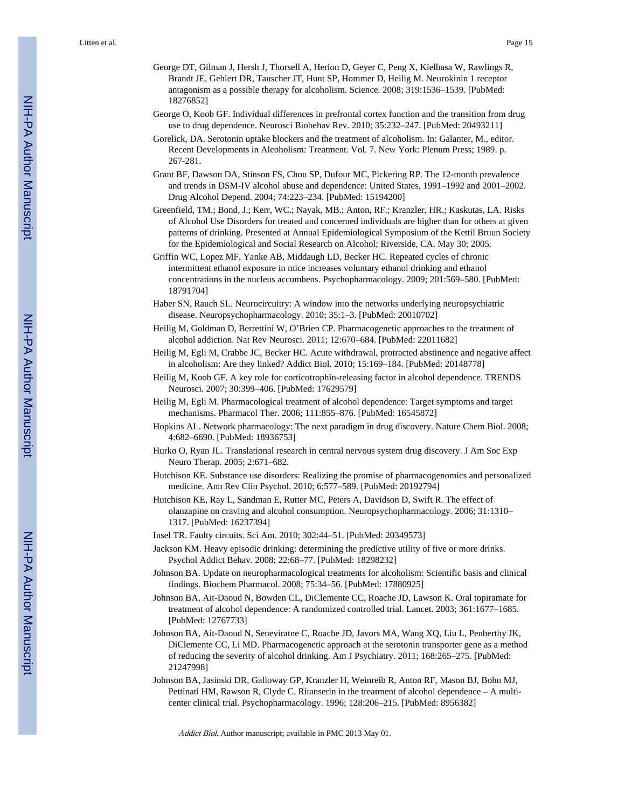- George DT, Gilman J, Hersh J, Thorsell A, Herion D, Geyer C, Peng X, Kielbasa W, Rawlings R, Brandt JE, Gehlert DR, Tauscher JT, Hunt SP, Hommer D, Heilig M. Neurokinin 1 receptor antagonism as a possible therapy for alcoholism. Science. 2008; 319:1536–1539. [PubMed: 18276852]
- George O, Koob GF. Individual differences in prefrontal cortex function and the transition from drug use to drug dependence. Neurosci Biobehav Rev. 2010; 35:232–247. [PubMed: 20493211]
- Gorelick, DA. Serotonin uptake blockers and the treatment of alcoholism. In: Galanter, M., editor. Recent Developments in Alcoholism: Treatment. Vol. 7. New York: Plenum Press; 1989. p. 267-281.
- Grant BF, Dawson DA, Stinson FS, Chou SP, Dufour MC, Pickering RP. The 12-month prevalence and trends in DSM-IV alcohol abuse and dependence: United States, 1991–1992 and 2001–2002. Drug Alcohol Depend. 2004; 74:223–234. [PubMed: 15194200]
- Greenfield, TM.; Bond, J.; Kerr, WC.; Nayak, MB.; Anton, RF.; Kranzler, HR.; Kaskutas, LA. Risks of Alcohol Use Disorders for treated and concerned individuals are higher than for others at given patterns of drinking. Presented at Annual Epidemiological Symposium of the Kettil Bruun Society for the Epidemiological and Social Research on Alcohol; Riverside, CA. May 30; 2005.
- Griffin WC, Lopez MF, Yanke AB, Middaugh LD, Becker HC. Repeated cycles of chronic intermittent ethanol exposure in mice increases voluntary ethanol drinking and ethanol concentrations in the nucleus accumbens. Psychopharmacology. 2009; 201:569–580. [PubMed: 18791704]
- Haber SN, Rauch SL. Neurocircuitry: A window into the networks underlying neuropsychiatric disease. Neuropsychopharmacology. 2010; 35:1–3. [PubMed: 20010702]
- Heilig M, Goldman D, Berrettini W, O'Brien CP. Pharmacogenetic approaches to the treatment of alcohol addiction. Nat Rev Neurosci. 2011; 12:670–684. [PubMed: 22011682]
- Heilig M, Egli M, Crabbe JC, Becker HC. Acute withdrawal, protracted abstinence and negative affect in alcoholism: Are they linked? Addict Biol. 2010; 15:169–184. [PubMed: 20148778]
- Heilig M, Koob GF. A key role for corticotrophin-releasing factor in alcohol dependence. TRENDS Neurosci. 2007; 30:399–406. [PubMed: 17629579]
- Heilig M, Egli M. Pharmacological treatment of alcohol dependence: Target symptoms and target mechanisms. Pharmacol Ther. 2006; 111:855–876. [PubMed: 16545872]
- Hopkins AL. Network pharmacology: The next paradigm in drug discovery. Nature Chem Biol. 2008; 4:682–6690. [PubMed: 18936753]
- Hurko O, Ryan JL. Translational research in central nervous system drug discovery. J Am Soc Exp Neuro Therap. 2005; 2:671–682.
- Hutchison KE. Substance use disorders: Realizing the promise of pharmacogenomics and personalized medicine. Ann Rev Clin Psychol. 2010; 6:577–589. [PubMed: 20192794]
- Hutchison KE, Ray L, Sandman E, Rutter MC, Peters A, Davidson D, Swift R. The effect of olanzapine on craving and alcohol consumption. Neuropsychopharmacology. 2006; 31:1310– 1317. [PubMed: 16237394]
- Insel TR. Faulty circuits. Sci Am. 2010; 302:44–51. [PubMed: 20349573]
- Jackson KM. Heavy episodic drinking: determining the predictive utility of five or more drinks. Psychol Addict Behav. 2008; 22:68–77. [PubMed: 18298232]
- Johnson BA. Update on neuropharmacological treatments for alcoholism: Scientific basis and clinical findings. Biochem Pharmacol. 2008; 75:34–56. [PubMed: 17880925]
- Johnson BA, Ait-Daoud N, Bowden CL, DiClemente CC, Roache JD, Lawson K. Oral topiramate for treatment of alcohol dependence: A randomized controlled trial. Lancet. 2003; 361:1677–1685. [PubMed: 12767733]
- Johnson BA, Ait-Daoud N, Seneviratne C, Roache JD, Javors MA, Wang XQ, Liu L, Penberthy JK, DiClemente CC, Li MD. Pharmacogenetic approach at the serotonin transporter gene as a method of reducing the severity of alcohol drinking. Am J Psychiatry. 2011; 168:265–275. [PubMed: 21247998]
- Johnson BA, Jasinski DR, Galloway GP, Kranzler H, Weinreib R, Anton RF, Mason BJ, Bohn MJ, Pettinati HM, Rawson R, Clyde C. Ritanserin in the treatment of alcohol dependence – A multicenter clinical trial. Psychopharmacology. 1996; 128:206–215. [PubMed: 8956382]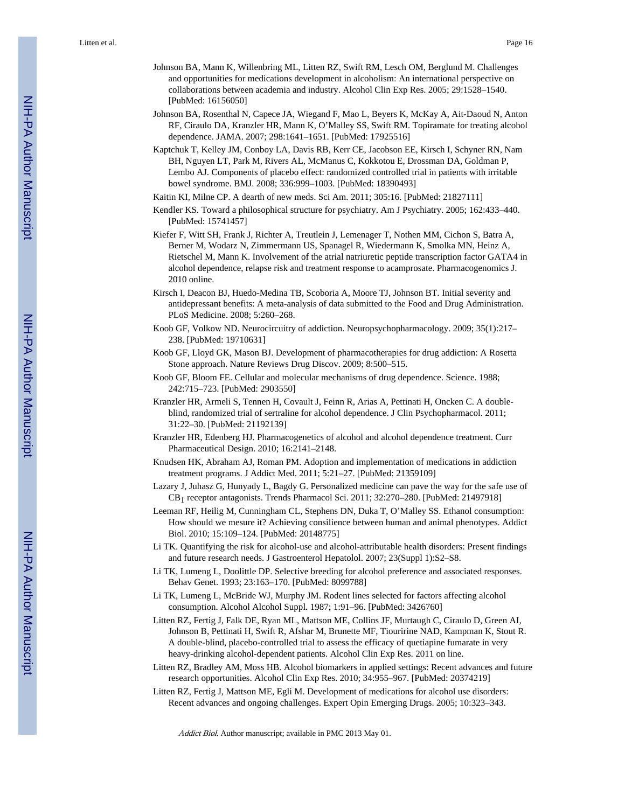- Johnson BA, Mann K, Willenbring ML, Litten RZ, Swift RM, Lesch OM, Berglund M. Challenges and opportunities for medications development in alcoholism: An international perspective on collaborations between academia and industry. Alcohol Clin Exp Res. 2005; 29:1528–1540. [PubMed: 16156050]
- Johnson BA, Rosenthal N, Capece JA, Wiegand F, Mao L, Beyers K, McKay A, Ait-Daoud N, Anton RF, Ciraulo DA, Kranzler HR, Mann K, O'Malley SS, Swift RM. Topiramate for treating alcohol dependence. JAMA. 2007; 298:1641–1651. [PubMed: 17925516]
- Kaptchuk T, Kelley JM, Conboy LA, Davis RB, Kerr CE, Jacobson EE, Kirsch I, Schyner RN, Nam BH, Nguyen LT, Park M, Rivers AL, McManus C, Kokkotou E, Drossman DA, Goldman P, Lembo AJ. Components of placebo effect: randomized controlled trial in patients with irritable bowel syndrome. BMJ. 2008; 336:999–1003. [PubMed: 18390493]
- Kaitin KI, Milne CP. A dearth of new meds. Sci Am. 2011; 305:16. [PubMed: 21827111]
- Kendler KS. Toward a philosophical structure for psychiatry. Am J Psychiatry. 2005; 162:433–440. [PubMed: 15741457]
- Kiefer F, Witt SH, Frank J, Richter A, Treutlein J, Lemenager T, Nothen MM, Cichon S, Batra A, Berner M, Wodarz N, Zimmermann US, Spanagel R, Wiedermann K, Smolka MN, Heinz A, Rietschel M, Mann K. Involvement of the atrial natriuretic peptide transcription factor GATA4 in alcohol dependence, relapse risk and treatment response to acamprosate. Pharmacogenomics J. 2010 online.
- Kirsch I, Deacon BJ, Huedo-Medina TB, Scoboria A, Moore TJ, Johnson BT. Initial severity and antidepressant benefits: A meta-analysis of data submitted to the Food and Drug Administration. PLoS Medicine. 2008; 5:260–268.
- Koob GF, Volkow ND. Neurocircuitry of addiction. Neuropsychopharmacology. 2009; 35(1):217– 238. [PubMed: 19710631]
- Koob GF, Lloyd GK, Mason BJ. Development of pharmacotherapies for drug addiction: A Rosetta Stone approach. Nature Reviews Drug Discov. 2009; 8:500–515.
- Koob GF, Bloom FE. Cellular and molecular mechanisms of drug dependence. Science. 1988; 242:715–723. [PubMed: 2903550]
- Kranzler HR, Armeli S, Tennen H, Covault J, Feinn R, Arias A, Pettinati H, Oncken C. A doubleblind, randomized trial of sertraline for alcohol dependence. J Clin Psychopharmacol. 2011; 31:22–30. [PubMed: 21192139]
- Kranzler HR, Edenberg HJ. Pharmacogenetics of alcohol and alcohol dependence treatment. Curr Pharmaceutical Design. 2010; 16:2141–2148.
- Knudsen HK, Abraham AJ, Roman PM. Adoption and implementation of medications in addiction treatment programs. J Addict Med. 2011; 5:21–27. [PubMed: 21359109]
- Lazary J, Juhasz G, Hunyady L, Bagdy G. Personalized medicine can pave the way for the safe use of CB1 receptor antagonists. Trends Pharmacol Sci. 2011; 32:270–280. [PubMed: 21497918]
- Leeman RF, Heilig M, Cunningham CL, Stephens DN, Duka T, O'Malley SS. Ethanol consumption: How should we mesure it? Achieving consilience between human and animal phenotypes. Addict Biol. 2010; 15:109–124. [PubMed: 20148775]
- Li TK. Quantifying the risk for alcohol-use and alcohol-attributable health disorders: Present findings and future research needs. J Gastroenterol Hepatolol. 2007; 23(Suppl 1):S2–S8.
- Li TK, Lumeng L, Doolittle DP. Selective breeding for alcohol preference and associated responses. Behav Genet. 1993; 23:163–170. [PubMed: 8099788]
- Li TK, Lumeng L, McBride WJ, Murphy JM. Rodent lines selected for factors affecting alcohol consumption. Alcohol Alcohol Suppl. 1987; 1:91–96. [PubMed: 3426760]
- Litten RZ, Fertig J, Falk DE, Ryan ML, Mattson ME, Collins JF, Murtaugh C, Ciraulo D, Green AI, Johnson B, Pettinati H, Swift R, Afshar M, Brunette MF, Tiouririne NAD, Kampman K, Stout R. A double-blind, placebo-controlled trial to assess the efficacy of quetiapine fumarate in very heavy-drinking alcohol-dependent patients. Alcohol Clin Exp Res. 2011 on line.
- Litten RZ, Bradley AM, Moss HB. Alcohol biomarkers in applied settings: Recent advances and future research opportunities. Alcohol Clin Exp Res. 2010; 34:955–967. [PubMed: 20374219]
- Litten RZ, Fertig J, Mattson ME, Egli M. Development of medications for alcohol use disorders: Recent advances and ongoing challenges. Expert Opin Emerging Drugs. 2005; 10:323–343.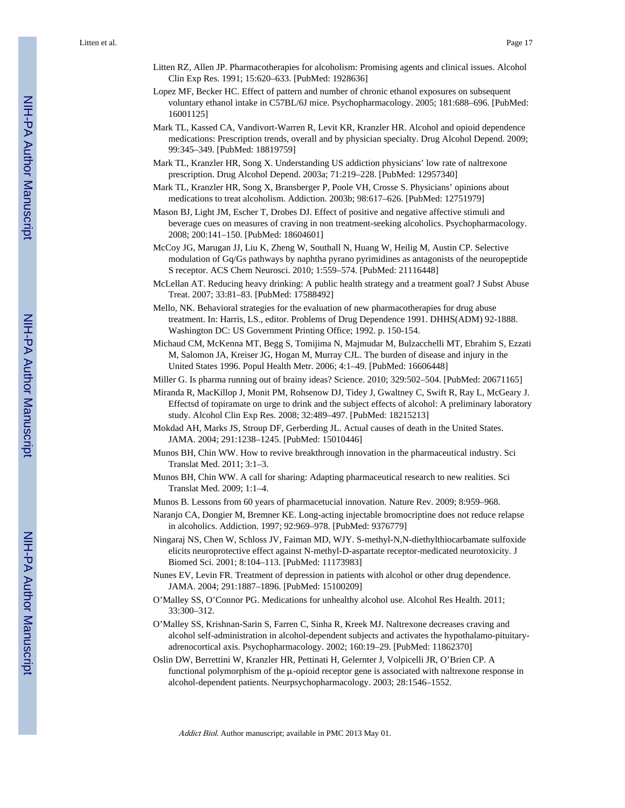- Litten RZ, Allen JP. Pharmacotherapies for alcoholism: Promising agents and clinical issues. Alcohol Clin Exp Res. 1991; 15:620–633. [PubMed: 1928636]
- Lopez MF, Becker HC. Effect of pattern and number of chronic ethanol exposures on subsequent voluntary ethanol intake in C57BL/6J mice. Psychopharmacology. 2005; 181:688–696. [PubMed: 16001125]
- Mark TL, Kassed CA, Vandivort-Warren R, Levit KR, Kranzler HR. Alcohol and opioid dependence medications: Prescription trends, overall and by physician specialty. Drug Alcohol Depend. 2009; 99:345–349. [PubMed: 18819759]
- Mark TL, Kranzler HR, Song X. Understanding US addiction physicians' low rate of naltrexone prescription. Drug Alcohol Depend. 2003a; 71:219–228. [PubMed: 12957340]
- Mark TL, Kranzler HR, Song X, Bransberger P, Poole VH, Crosse S. Physicians' opinions about medications to treat alcoholism. Addiction. 2003b; 98:617–626. [PubMed: 12751979]
- Mason BJ, Light JM, Escher T, Drobes DJ. Effect of positive and negative affective stimuli and beverage cues on measures of craving in non treatment-seeking alcoholics. Psychopharmacology. 2008; 200:141–150. [PubMed: 18604601]
- McCoy JG, Marugan JJ, Liu K, Zheng W, Southall N, Huang W, Heilig M, Austin CP. Selective modulation of Gq/Gs pathways by naphtha pyrano pyrimidines as antagonists of the neuropeptide S receptor. ACS Chem Neurosci. 2010; 1:559–574. [PubMed: 21116448]
- McLellan AT. Reducing heavy drinking: A public health strategy and a treatment goal? J Subst Abuse Treat. 2007; 33:81–83. [PubMed: 17588492]
- Mello, NK. Behavioral strategies for the evaluation of new pharmacotherapies for drug abuse treatment. In: Harris, LS., editor. Problems of Drug Dependence 1991. DHHS(ADM) 92-1888. Washington DC: US Government Printing Office; 1992. p. 150-154.
- Michaud CM, McKenna MT, Begg S, Tomijima N, Majmudar M, Bulzacchelli MT, Ebrahim S, Ezzati M, Salomon JA, Kreiser JG, Hogan M, Murray CJL. The burden of disease and injury in the United States 1996. Popul Health Metr. 2006; 4:1–49. [PubMed: 16606448]

Miller G. Is pharma running out of brainy ideas? Science. 2010; 329:502–504. [PubMed: 20671165]

- Miranda R, MacKillop J, Monit PM, Rohsenow DJ, Tidey J, Gwaltney C, Swift R, Ray L, McGeary J. Effectsd of topiramate on urge to drink and the subject effects of alcohol: A preliminary laboratory study. Alcohol Clin Exp Res. 2008; 32:489–497. [PubMed: 18215213]
- Mokdad AH, Marks JS, Stroup DF, Gerberding JL. Actual causes of death in the United States. JAMA. 2004; 291:1238–1245. [PubMed: 15010446]
- Munos BH, Chin WW. How to revive breakthrough innovation in the pharmaceutical industry. Sci Translat Med. 2011; 3:1–3.
- Munos BH, Chin WW. A call for sharing: Adapting pharmaceutical research to new realities. Sci Translat Med. 2009; 1:1–4.
- Munos B. Lessons from 60 years of pharmacetucial innovation. Nature Rev. 2009; 8:959–968.

Naranjo CA, Dongier M, Bremner KE. Long-acting injectable bromocriptine does not reduce relapse in alcoholics. Addiction. 1997; 92:969–978. [PubMed: 9376779]

- Ningaraj NS, Chen W, Schloss JV, Faiman MD, WJY. S-methyl-N,N-diethylthiocarbamate sulfoxide elicits neuroprotective effect against N-methyl-D-aspartate receptor-medicated neurotoxicity. J Biomed Sci. 2001; 8:104–113. [PubMed: 11173983]
- Nunes EV, Levin FR. Treatment of depression in patients with alcohol or other drug dependence. JAMA. 2004; 291:1887–1896. [PubMed: 15100209]
- O'Malley SS, O'Connor PG. Medications for unhealthy alcohol use. Alcohol Res Health. 2011; 33:300–312.
- O'Malley SS, Krishnan-Sarin S, Farren C, Sinha R, Kreek MJ. Naltrexone decreases craving and alcohol self-administration in alcohol-dependent subjects and activates the hypothalamo-pituitaryadrenocortical axis. Psychopharmacology. 2002; 160:19–29. [PubMed: 11862370]
- Oslin DW, Berrettini W, Kranzler HR, Pettinati H, Gelernter J, Volpicelli JR, O'Brien CP. A functional polymorphism of the μ-opioid receptor gene is associated with naltrexone response in alcohol-dependent patients. Neurpsychopharmacology. 2003; 28:1546–1552.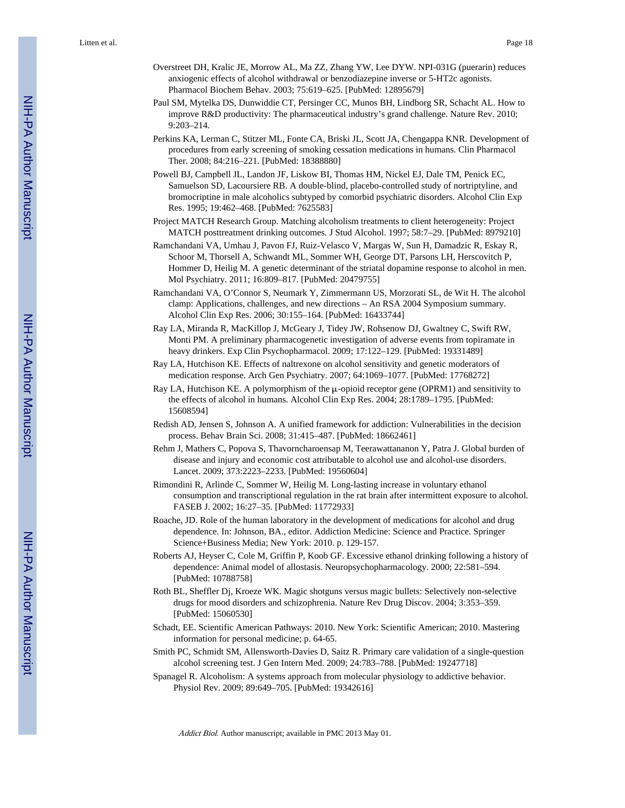- Overstreet DH, Kralic JE, Morrow AL, Ma ZZ, Zhang YW, Lee DYW. NPI-031G (puerarin) reduces anxiogenic effects of alcohol withdrawal or benzodiazepine inverse or 5-HT2c agonists. Pharmacol Biochem Behav. 2003; 75:619–625. [PubMed: 12895679]
- Paul SM, Mytelka DS, Dunwiddie CT, Persinger CC, Munos BH, Lindborg SR, Schacht AL. How to improve R&D productivity: The pharmaceutical industry's grand challenge. Nature Rev. 2010; 9:203–214.
- Perkins KA, Lerman C, Stitzer ML, Fonte CA, Briski JL, Scott JA, Chengappa KNR. Development of procedures from early screening of smoking cessation medications in humans. Clin Pharmacol Ther. 2008; 84:216–221. [PubMed: 18388880]
- Powell BJ, Campbell JL, Landon JF, Liskow BI, Thomas HM, Nickel EJ, Dale TM, Penick EC, Samuelson SD, Lacoursiere RB. A double-blind, placebo-controlled study of nortriptyline, and bromocriptine in male alcoholics subtyped by comorbid psychiatric disorders. Alcohol Clin Exp Res. 1995; 19:462–468. [PubMed: 7625583]
- Project MATCH Research Group. Matching alcoholism treatments to client heterogeneity: Project MATCH posttreatment drinking outcomes. J Stud Alcohol. 1997; 58:7–29. [PubMed: 8979210]
- Ramchandani VA, Umhau J, Pavon FJ, Ruiz-Velasco V, Margas W, Sun H, Damadzic R, Eskay R, Schoor M, Thorsell A, Schwandt ML, Sommer WH, George DT, Parsons LH, Herscovitch P, Hommer D, Heilig M. A genetic determinant of the striatal dopamine response to alcohol in men. Mol Psychiatry. 2011; 16:809–817. [PubMed: 20479755]
- Ramchandani VA, O'Connor S, Neumark Y, Zimmermann US, Morzorati SL, de Wit H. The alcohol clamp: Applications, challenges, and new directions – An RSA 2004 Symposium summary. Alcohol Clin Exp Res. 2006; 30:155–164. [PubMed: 16433744]
- Ray LA, Miranda R, MacKillop J, McGeary J, Tidey JW, Rohsenow DJ, Gwaltney C, Swift RW, Monti PM. A preliminary pharmacogenetic investigation of adverse events from topiramate in heavy drinkers. Exp Clin Psychopharmacol. 2009; 17:122–129. [PubMed: 19331489]
- Ray LA, Hutchison KE. Effects of naltrexone on alcohol sensitivity and genetic moderators of medication response. Arch Gen Psychiatry. 2007; 64:1069–1077. [PubMed: 17768272]
- Ray LA, Hutchison KE. A polymorphism of the μ-opioid receptor gene (OPRM1) and sensitivity to the effects of alcohol in humans. Alcohol Clin Exp Res. 2004; 28:1789–1795. [PubMed: 15608594]
- Redish AD, Jensen S, Johnson A. A unified framework for addiction: Vulnerabilities in the decision process. Behav Brain Sci. 2008; 31:415–487. [PubMed: 18662461]
- Rehm J, Mathers C, Popova S, Thavorncharoensap M, Teerawattananon Y, Patra J. Global burden of disease and injury and economic cost attributable to alcohol use and alcohol-use disorders. Lancet. 2009; 373:2223–2233. [PubMed: 19560604]
- Rimondini R, Arlinde C, Sommer W, Heilig M. Long-lasting increase in voluntary ethanol consumption and transcriptional regulation in the rat brain after intermittent exposure to alcohol. FASEB J. 2002; 16:27–35. [PubMed: 11772933]
- Roache, JD. Role of the human laboratory in the development of medications for alcohol and drug dependence. In: Johnson, BA., editor. Addiction Medicine: Science and Practice. Springer Science+Business Media; New York: 2010. p. 129-157.
- Roberts AJ, Heyser C, Cole M, Griffin P, Koob GF. Excessive ethanol drinking following a history of dependence: Animal model of allostasis. Neuropsychopharmacology. 2000; 22:581–594. [PubMed: 10788758]
- Roth BL, Sheffler Dj, Kroeze WK. Magic shotguns versus magic bullets: Selectively non-selective drugs for mood disorders and schizophrenia. Nature Rev Drug Discov. 2004; 3:353–359. [PubMed: 15060530]
- Schadt, EE. Scientific American Pathways: 2010. New York: Scientific American; 2010. Mastering information for personal medicine; p. 64-65.
- Smith PC, Schmidt SM, Allensworth-Davies D, Saitz R. Primary care validation of a single-question alcohol screening test. J Gen Intern Med. 2009; 24:783–788. [PubMed: 19247718]
- Spanagel R. Alcoholism: A systems approach from molecular physiology to addictive behavior. Physiol Rev. 2009; 89:649–705. [PubMed: 19342616]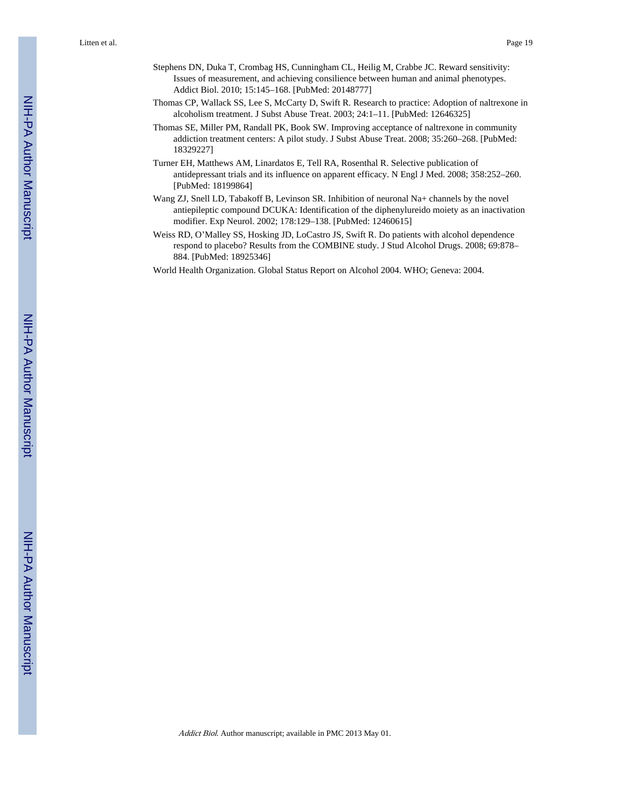- Stephens DN, Duka T, Crombag HS, Cunningham CL, Heilig M, Crabbe JC. Reward sensitivity: Issues of measurement, and achieving consilience between human and animal phenotypes. Addict Biol. 2010; 15:145–168. [PubMed: 20148777]
- Thomas CP, Wallack SS, Lee S, McCarty D, Swift R. Research to practice: Adoption of naltrexone in alcoholism treatment. J Subst Abuse Treat. 2003; 24:1–11. [PubMed: 12646325]
- Thomas SE, Miller PM, Randall PK, Book SW. Improving acceptance of naltrexone in community addiction treatment centers: A pilot study. J Subst Abuse Treat. 2008; 35:260–268. [PubMed: 18329227]
- Turner EH, Matthews AM, Linardatos E, Tell RA, Rosenthal R. Selective publication of antidepressant trials and its influence on apparent efficacy. N Engl J Med. 2008; 358:252–260. [PubMed: 18199864]
- Wang ZJ, Snell LD, Tabakoff B, Levinson SR. Inhibition of neuronal Na+ channels by the novel antiepileptic compound DCUKA: Identification of the diphenylureido moiety as an inactivation modifier. Exp Neurol. 2002; 178:129–138. [PubMed: 12460615]
- Weiss RD, O'Malley SS, Hosking JD, LoCastro JS, Swift R. Do patients with alcohol dependence respond to placebo? Results from the COMBINE study. J Stud Alcohol Drugs. 2008; 69:878– 884. [PubMed: 18925346]
- World Health Organization. Global Status Report on Alcohol 2004. WHO; Geneva: 2004.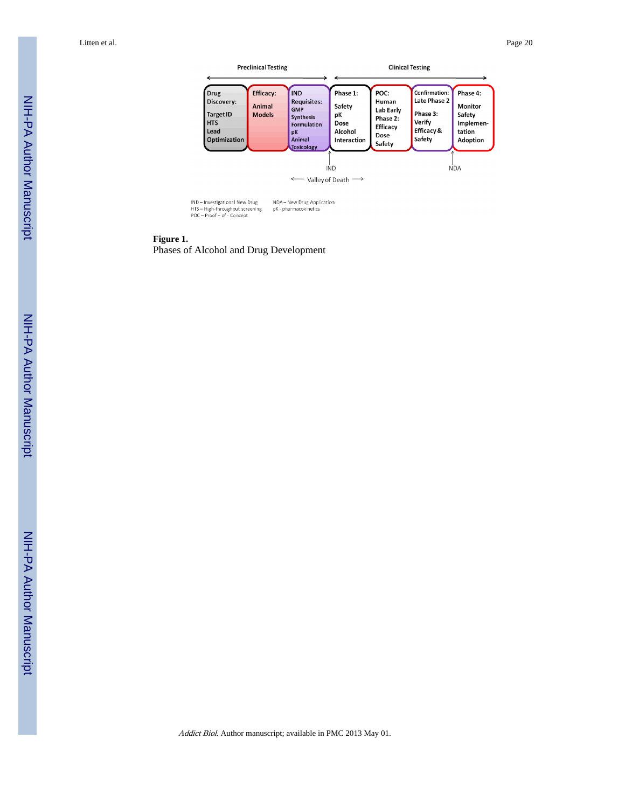

**Figure 1.**

Phases of Alcohol and Drug Development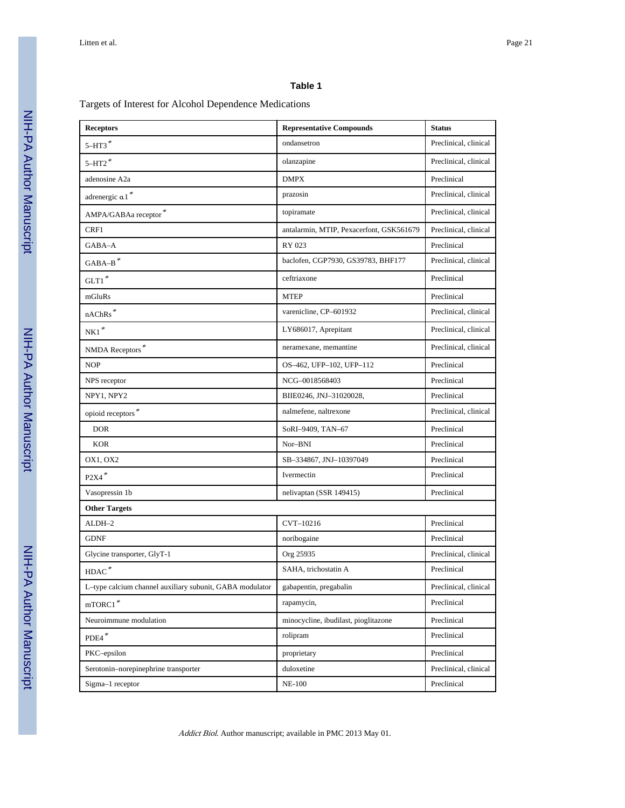### **Table 1**

### Targets of Interest for Alcohol Dependence Medications

| <b>Receptors</b>                                         | <b>Representative Compounds</b>          | <b>Status</b>         |  |  |  |
|----------------------------------------------------------|------------------------------------------|-----------------------|--|--|--|
| $5 - H T 3$ *                                            | ondansetron                              | Preclinical, clinical |  |  |  |
| $5 - H T2$ <sup>*</sup>                                  | olanzapine                               | Preclinical, clinical |  |  |  |
| adenosine A2a                                            | <b>DMPX</b>                              | Preclinical           |  |  |  |
| adrenergic a 1*                                          | prazosin                                 | Preclinical, clinical |  |  |  |
| $\mbox{AMPA/GABA}$ receptor $^*$                         | topiramate                               | Preclinical, clinical |  |  |  |
| CRF1                                                     | antalarmin, MTIP, Pexacerfont, GSK561679 | Preclinical, clinical |  |  |  |
| GABA-A                                                   | RY 023                                   | Preclinical           |  |  |  |
| $GABA-B$ <sup>*</sup>                                    | baclofen, CGP7930, GS39783, BHF177       | Preclinical, clinical |  |  |  |
| $GLT1$ <sup>*</sup>                                      | ceftriaxone                              | Preclinical           |  |  |  |
| mGluRs                                                   | <b>MTEP</b>                              | Preclinical           |  |  |  |
| $\operatorname{nAChRs}^*$                                | varenicline, CP-601932                   | Preclinical, clinical |  |  |  |
| $\rm{NK1}$ $^{*}$                                        | LY686017, Aprepitant                     | Preclinical, clinical |  |  |  |
| NMDA Receptors*                                          | neramexane, memantine                    | Preclinical, clinical |  |  |  |
| <b>NOP</b>                                               | OS-462, UFP-102, UFP-112                 | Preclinical           |  |  |  |
| NPS receptor                                             | NCG-0018568403                           | Preclinical           |  |  |  |
| NPY1, NPY2                                               | BIIE0246, JNJ-31020028,                  | Preclinical           |  |  |  |
| opioid receptors $*$                                     | nalmefene, naltrexone                    | Preclinical, clinical |  |  |  |
| <b>DOR</b>                                               | SoRI-9409, TAN-67                        | Preclinical           |  |  |  |
| <b>KOR</b>                                               | Nor-BNI                                  | Preclinical           |  |  |  |
| OX1, OX2                                                 | SB-334867, JNJ-10397049                  | Preclinical           |  |  |  |
| $\text{P2X4}^{\text{*}}$                                 | Ivermectin                               | Preclinical           |  |  |  |
| Vasopressin 1b                                           | nelivaptan (SSR 149415)                  | Preclinical           |  |  |  |
| <b>Other Targets</b>                                     |                                          |                       |  |  |  |
| ALDH-2                                                   | CVT-10216                                | Preclinical           |  |  |  |
| <b>GDNF</b>                                              | noribogaine                              | Preclinical           |  |  |  |
| Glycine transporter, GlyT-1                              | Org 25935                                | Preclinical, clinical |  |  |  |
| $\text{HDAC}^{\;\ast}$                                   | SAHA, trichostatin A                     | Preclinical           |  |  |  |
| L-type calcium channel auxiliary subunit, GABA modulator | gabapentin, pregabalin                   | Preclinical, clinical |  |  |  |
| $\mathop{\mathrm{mTORC1}}\nolimits^*$                    | rapamycin,                               | Preclinical           |  |  |  |
| Neuroimmune modulation                                   | minocycline, ibudilast, pioglitazone     | Preclinical           |  |  |  |
| $\text{PDE4}^{\;*}$                                      | rolipram                                 | Preclinical           |  |  |  |
| PKC-epsilon                                              | proprietary                              | Preclinical           |  |  |  |
| Serotonin-norepinephrine transporter                     | duloxetine                               | Preclinical, clinical |  |  |  |
| Sigma-1 receptor                                         | <b>NE-100</b>                            | Preclinical           |  |  |  |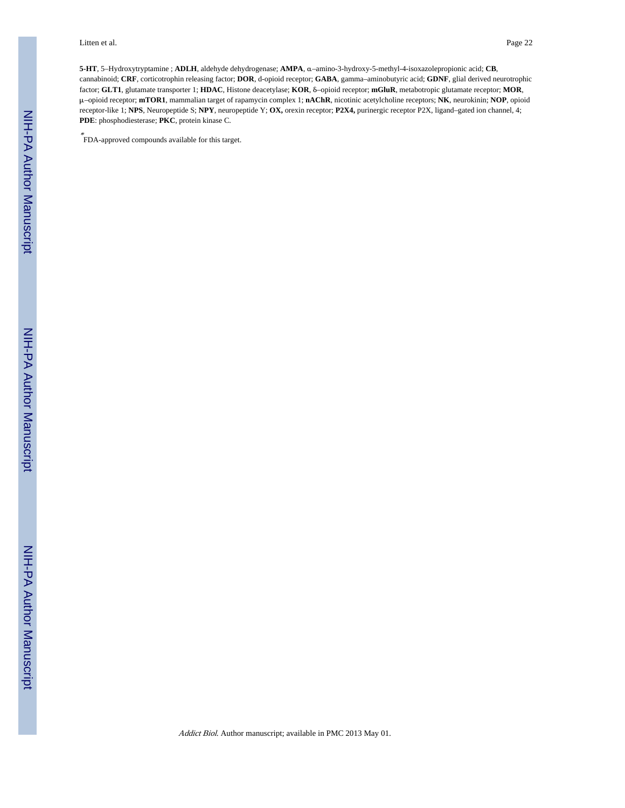**5-HT**, 5–Hydroxytryptamine ; **ADLH**, aldehyde dehydrogenase; **AMPA**, α–amino-3-hydroxy-5-methyl-4-isoxazolepropionic acid; **CB**, cannabinoid; **CRF**, corticotrophin releasing factor; **DOR**, d-opioid receptor; **GABA**, gamma–aminobutyric acid; **GDNF**, glial derived neurotrophic factor; **GLT1**, glutamate transporter 1; **HDAC**, Histone deacetylase; **KOR**, δ–opioid receptor; **mGluR**, metabotropic glutamate receptor; **MOR**, μ–opioid receptor; **mTOR1**, mammalian target of rapamycin complex 1; **nAChR**, nicotinic acetylcholine receptors; **NK**, neurokinin; **NOP**, opioid receptor-like 1; **NPS**, Neuropeptide S; **NPY**, neuropeptide Y; **OX,** orexin receptor; **P2X4,** purinergic receptor P2X, ligand–gated ion channel, 4; **PDE**: phosphodiesterase; **PKC**, protein kinase C.

\* FDA-approved compounds available for this target.